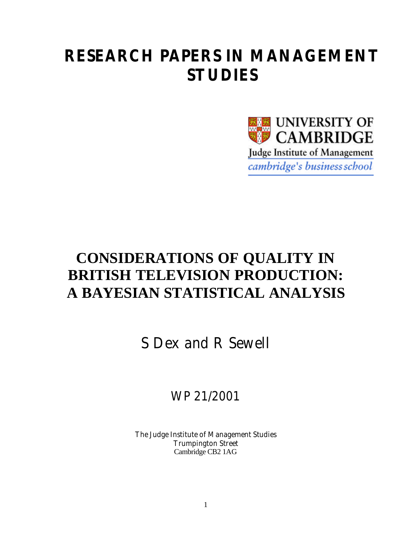# **RESEARCH PAPERS IN MANAGEMENT STUDIES**



# **CONSIDERATIONS OF QUALITY IN BRITISH TELEVISION PRODUCTION: A BAYESIAN STATISTICAL ANALYSIS**

S Dex and R Sewell

WP 21/2001

The Judge Institute of Management Studies Trumpington Street Cambridge CB2 1AG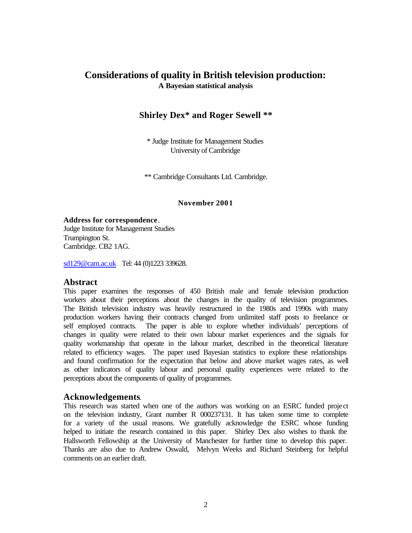# **Considerations of quality in British television production: A Bayesian statistical analysis**

## **Shirley Dex\* and Roger Sewell \*\***

\* Judge Institute for Management Studies University of Cambridge

\*\* Cambridge Consultants Ltd. Cambridge.

**November 2001**

**Address for correspondence**. Judge Institute for Management Studies Trumpington St. Cambridge. CB2 1AG.

sd129@cam.ac.uk Tel: 44 (0)1223 339628.

#### **Abstract**

This paper examines the responses of 450 British male and female television production workers about their perceptions about the changes in the quality of television programmes. The British television industry was heavily restructured in the 1980s and 1990s with many production workers having their contracts changed from unlimited staff posts to freelance or self employed contracts. The paper is able to explore whether individuals' perceptions of changes in quality were related to their own labour market experiences and the signals for quality workmanship that operate in the labour market, described in the theoretical literature related to efficiency wages. The paper used Bayesian statistics to explore these relationships and found confirmation for the expectation that below and above market wages rates, as well as other indicators of quality labour and personal quality experiences were related to the perceptions about the components of quality of programmes.

#### **Acknowledgements**.

This research was started when one of the authors was working on an ESRC funded project on the television industry, Grant number R 000237131. It has taken some time to complete for a variety of the usual reasons. We gratefully acknowledge the ESRC whose funding helped to initiate the research contained in this paper. Shirley Dex also wishes to thank the Hallsworth Fellowship at the University of Manchester for further time to develop this paper. Thanks are also due to Andrew Oswald, Melvyn Weeks and Richard Steinberg for helpful comments on an earlier draft.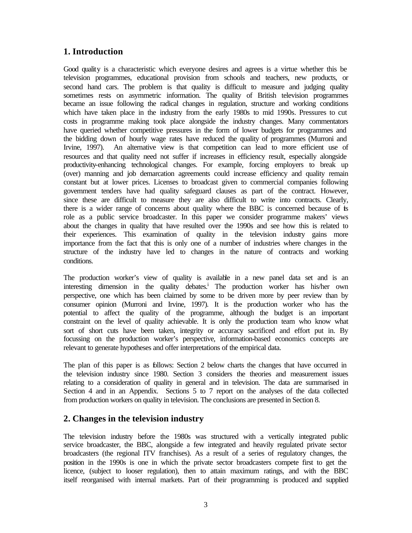# **1. Introduction**

Good quality is a characteristic which everyone desires and agrees is a virtue whether this be television programmes, educational provision from schools and teachers, new products, or second hand cars. The problem is that quality is difficult to measure and judging quality sometimes rests on asymmetric information. The quality of British television programmes became an issue following the radical changes in regulation, structure and working conditions which have taken place in the industry from the early 1980s to mid 1990s. Pressures to cut costs in programme making took place alongside the industry changes. Many commentators have queried whether competitive pressures in the form of lower budgets for programmes and the bidding down of hourly wage rates have reduced the quality of programmes (Murroni and Irvine, 1997). An alternative view is that competition can lead to more efficient use of resources and that quality need not suffer if increases in efficiency result, especially alongside productivity-enhancing technological changes. For example, forcing employers to break up (over) manning and job demarcation agreements could increase efficiency and quality remain constant but at lower prices. Licenses to broadcast given to commercial companies following government tenders have had quality safeguard clauses as part of the contract. However, since these are difficult to measure they are also difficult to write into contracts. Clearly, there is a wider range of concerns about quality where the BBC is concerned because of its role as a public service broadcaster. In this paper we consider programme makers' views about the changes in quality that have resulted over the 1990s and see how this is related to their experiences. This examination of quality in the television industry gains more importance from the fact that this is only one of a number of industries where changes in the structure of the industry have led to changes in the nature of contracts and working conditions.

The production worker's view of quality is available in a new panel data set and is an interesting dimension in the quality debates.<sup>i</sup> The production worker has his/her own perspective, one which has been claimed by some to be driven more by peer review than by consumer opinion (Murroni and Irvine, 1997). It is the production worker who has the potential to affect the quality of the programme, although the budget is an important constraint on the level of quality achievable. It is only the production team who know what sort of short cuts have been taken, integrity or accuracy sacrificed and effort put in. By focussing on the production worker's perspective, information-based economics concepts are relevant to generate hypotheses and offer interpretations of the empirical data.

The plan of this paper is as follows: Section 2 below charts the changes that have occurred in the television industry since 1980. Section 3 considers the theories and measurement issues relating to a consideration of quality in general and in television. The data are summarised in Section 4 and in an Appendix. Sections 5 to 7 report on the analyses of the data collected from production workers on quality in television. The conclusions are presented in Section 8.

# **2. Changes in the television industry**

The television industry before the 1980s was structured with a vertically integrated public service broadcaster, the BBC, alongside a few integrated and heavily regulated private sector broadcasters (the regional ITV franchises). As a result of a series of regulatory changes, the position in the 1990s is one in which the private sector broadcasters compete first to get the licence, (subject to looser regulation), then to attain maximum ratings, and with the BBC itself reorganised with internal markets. Part of their programming is produced and supplied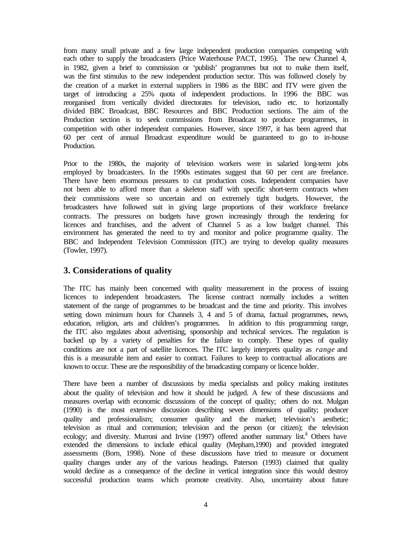from many small private and a few large independent production companies competing with each other to supply the broadcasters (Price Waterhouse PACT, 1995). The new Channel 4, in 1982, given a brief to commission or 'publish' programmes but not to make them itself, was the first stimulus to the new independent production sector. This was followed closely by the creation of a market in external suppliers in 1986 as the BBC and ITV were given the target of introducing a 25% quota of independent productions. In 1996 the BBC was reorganised from vertically divided directorates for television, radio etc. to horizontally divided BBC Broadcast, BBC Resources and BBC Production sections. The aim of the Production section is to seek commissions from Broadcast to produce programmes, in competition with other independent companies. However, since 1997, it has been agreed that 60 per cent of annual Broadcast expenditure would be guaranteed to go to in-house Production.

Prior to the 1980s, the majority of television workers were in salaried long-term jobs employed by broadcasters. In the 1990s estimates suggest that 60 per cent are freelance. There have been enormous pressures to cut production costs. Independent companies have not been able to afford more than a skeleton staff with specific short-term contracts when their commissions were so uncertain and on extremely tight budgets. However, the broadcasters have followed suit in giving large proportions of their workforce freelance contracts. The pressures on budgets have grown increasingly through the tendering for licences and franchises, and the advent of Channel 5 as a low budget channel. This environment has generated the need to try and monitor and police programme quality. The BBC and Independent Television Commission (ITC) are trying to develop quality measures (Towler, 1997).

# **3. Considerations of quality**

The ITC has mainly been concerned with quality measurement in the process of issuing licences to independent broadcasters. The license contract normally includes a written statement of the range of programmes to be broadcast and the time and priority. This involves setting down minimum hours for Channels 3, 4 and 5 of drama, factual programmes, news, education, religion, arts and children's programmes. In addition to this programming range, the ITC also regulates about advertising, sponsorship and technical services. The regulation is backed up by a variety of penalties for the failure to comply. These types of quality conditions are not a part of satellite licences. The ITC largely interprets quality as *range* and this is a measurable item and easier to contract. Failures to keep to contractual allocations are known to occur. These are the responsibility of the broadcasting company or licence holder.

There have been a number of discussions by media specialists and policy making institutes about the quality of television and how it should be judged. A few of these discussions and measures overlap with economic discussions of the concept of quality; others do not. Mulgan (1990) is the most extensive discussion describing seven dimensions of quality; producer quality and professionalism; consumer quality and the market; television's aesthetic; television as ritual and communion; television and the person (or citizen); the television ecology; and diversity. Murroni and Irvine  $(1997)$  offered another summary list.<sup>ii</sup> Others have extended the dimensions to include ethical quality (Mepham,1990) and provided integrated assessments (Born, 1998). None of these discussions have tried to measure or document quality changes under any of the various headings. Paterson (1993) claimed that quality would decline as a consequence of the decline in vertical integration since this would destroy successful production teams which promote creativity. Also, uncertainty about future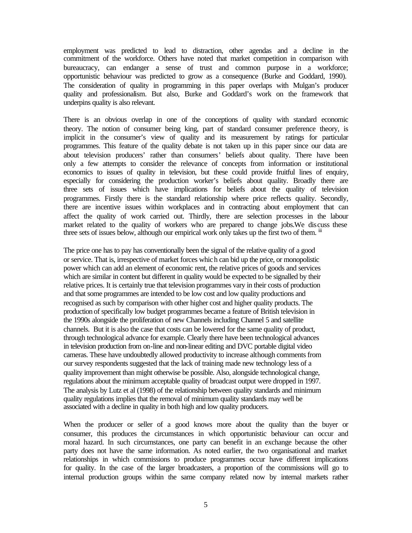employment was predicted to lead to distraction, other agendas and a decline in the commitment of the workforce. Others have noted that market competition in comparison with bureaucracy, can endanger a sense of trust and common purpose in a workforce; opportunistic behaviour was predicted to grow as a consequence (Burke and Goddard, 1990). The consideration of quality in programming in this paper overlaps with Mulgan's producer quality and professionalism. But also, Burke and Goddard's work on the framework that underpins quality is also relevant.

There is an obvious overlap in one of the conceptions of quality with standard economic theory. The notion of consumer being king, part of standard consumer preference theory, is implicit in the consumer's view of quality and its measurement by ratings for particular programmes. This feature of the quality debate is not taken up in this paper since our data are about television producers' rather than consumers' beliefs about quality. There have been only a few attempts to consider the relevance of concepts from information or institutional economics to issues of quality in television, but these could provide fruitful lines of enquiry, especially for considering the production worker's beliefs about quality. Broadly there are three sets of issues which have implications for beliefs about the quality of television programmes. Firstly there is the standard relationship where price reflects quality. Secondly, there are incentive issues within workplaces and in contracting about employment that can affect the quality of work carried out. Thirdly, there are selection processes in the labour market related to the quality of workers who are prepared to change jobs.We discuss these three sets of issues below, although our empirical work only takes up the first two of them. iii

The price one has to pay has conventionally been the signal of the relative quality of a good or service. That is, irrespective of market forces which can bid up the price, or monopolistic power which can add an element of economic rent, the relative prices of goods and services which are similar in content but different in quality would be expected to be signalled by their relative prices. It is certainly true that television programmes vary in their costs of production and that some programmes are intended to be low cost and low quality productions and recognised as such by comparison with other higher cost and higher quality products. The production of specifically low budget programmes became a feature of British television in the 1990s alongside the proliferation of new Channels including Channel 5 and satellite channels. But it is also the case that costs can be lowered for the same quality of product, through technological advance for example. Clearly there have been technological advances in television production from on-line and non-linear editing and DVC portable digital video cameras. These have undoubtedly allowed productivity to increase although comments from our survey respondents suggested that the lack of training made new technology less of a quality improvement than might otherwise be possible. Also, alongside technological change, regulations about the minimum acceptable quality of broadcast output were dropped in 1997. The analysis by Lutz et al (1998) of the relationship between quality standards and minimum quality regulations implies that the removal of minimum quality standards may well be associated with a decline in quality in both high and low quality producers.

When the producer or seller of a good knows more about the quality than the buyer or consumer, this produces the circumstances in which opportunistic behaviour can occur and moral hazard. In such circumstances, one party can benefit in an exchange because the other party does not have the same information. As noted earlier, the two organisational and market relationships in which commissions to produce programmes occur have different implications for quality. In the case of the larger broadcasters, a proportion of the commissions will go to internal production groups within the same company related now by internal markets rather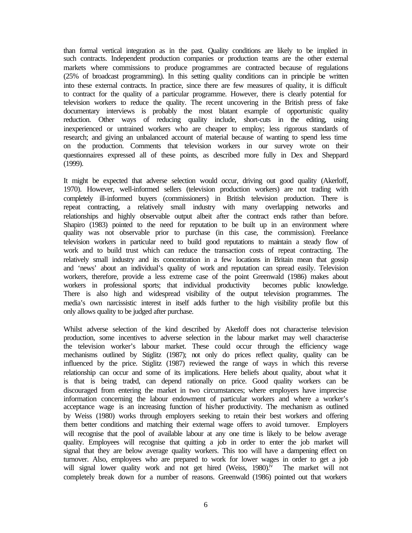than formal vertical integration as in the past. Quality conditions are likely to be implied in such contracts. Independent production companies or production teams are the other external markets where commissions to produce programmes are contracted because of regulations (25% of broadcast programming). In this setting quality conditions can in principle be written into these external contracts. In practice, since there are few measures of quality, it is difficult to contract for the quality of a particular programme. However, there is clearly potential for television workers to reduce the quality. The recent uncovering in the British press of fake documentary interviews is probably the most blatant example of opportunistic quality reduction. Other ways of reducing quality include, short-cuts in the editing, using inexperienced or untrained workers who are cheaper to employ; less rigorous standards of research; and giving an unbalanced account of material because of wanting to spend less time on the production. Comments that television workers in our survey wrote on their questionnaires expressed all of these points, as described more fully in Dex and Sheppard (1999).

It might be expected that adverse selection would occur, driving out good quality (Akerloff, 1970). However, well-informed sellers (television production workers) are not trading with completely ill-informed buyers (commissioners) in British television production. There is repeat contracting, a relatively small industry with many overlapping networks and relationships and highly observable output albeit after the contract ends rather than before. Shapiro (1983) pointed to the need for reputation to be built up in an environment where quality was not observable prior to purchase (in this case, the commission). Freelance television workers in particular need to build good reputations to maintain a steady flow of work and to build trust which can reduce the transaction costs of repeat contracting. The relatively small industry and its concentration in a few locations in Britain mean that gossip and 'news' about an individual's quality of work and reputation can spread easily. Television workers, therefore, provide a less extreme case of the point Greenwald (1986) makes about workers in professional sports; that individual productivity becomes public knowledge. There is also high and widespread visibility of the output television programmes. The media's own narcissistic interest in itself adds further to the high visibility profile but this only allows quality to be judged after purchase.

Whilst adverse selection of the kind described by Akerloff does not characterise television production, some incentives to adverse selection in the labour market may well characterise the television worker's labour market. These could occur through the efficiency wage mechanisms outlined by Stiglitz (1987); not only do prices reflect quality, quality can be influenced by the price. Stiglitz (1987) reviewed the range of ways in which this reverse relationship can occur and some of its implications. Here beliefs about quality, about what it is that is being traded, can depend rationally on price. Good quality workers can be discouraged from entering the market in two circumstances; where employers have imprecise information concerning the labour endowment of particular workers and where a worker's acceptance wage is an increasing function of his/her productivity. The mechanism as outlined by Weiss (1980) works through employers seeking to retain their best workers and offering them better conditions and matching their external wage offers to avoid turnover. Employers will recognise that the pool of available labour at any one time is likely to be below average quality. Employees will recognise that quitting a job in order to enter the job market will signal that they are below average quality workers. This too will have a dampening effect on turnover. Also, employees who are prepared to work for lower wages in order to get a job will signal lower quality work and not get hired (Weiss,  $1980$ ).<sup>iv</sup> The market will not completely break down for a number of reasons. Greenwald (1986) pointed out that workers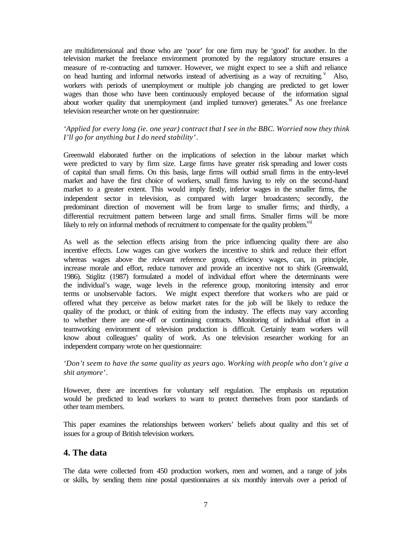are multidimensional and those who are 'poor' for one firm may be 'good' for another. In the television market the freelance environment promoted by the regulatory structure ensures a measure of re-contracting and turnover. However, we might expect to see a shift and reliance on head hunting and informal networks instead of advertising as a way of recruiting.<sup>V</sup> Also, workers with periods of unemployment or multiple job changing are predicted to get lower wages than those who have been continuously employed because of the information signal about worker quality that unemployment (and implied turnover) generates. $\lambda$ <sup>n</sup> As one freelance television researcher wrote on her questionnaire:

## *'Applied for every long (ie. one year) contract that I see in the BBC. Worried now they think I'll go for anything but I do need stability'*.

Greenwald elaborated further on the implications of selection in the labour market which were predicted to vary by firm size. Large firms have greater risk spreading and lower costs of capital than small firms. On this basis, large firms will outbid small firms in the entry-level market and have the first choice of workers, small firms having to rely on the second-hand market to a greater extent. This would imply firstly, inferior wages in the smaller firms, the independent sector in television, as compared with larger broadcasters; secondly, the predominant direction of movement will be from large to smaller firms; and thirdly, a differential recruitment pattern between large and small firms. Smaller firms will be more likely to rely on informal methods of recruitment to compensate for the quality problem.<sup>VII</sup>

As well as the selection effects arising from the price influencing quality there are also incentive effects. Low wages can give workers the incentive to shirk and reduce their effort whereas wages above the relevant reference group, efficiency wages, can, in principle, increase morale and effort, reduce turnover and provide an incentive not to shirk (Greenwald, 1986). Stiglitz (1987) formulated a model of individual effort where the determinants were the individual's wage, wage levels in the reference group, monitoring intensity and error terms or unobservable factors. We might expect therefore that workers who are paid or offered what they perceive as below market rates for the job will be likely to reduce the quality of the product, or think of exiting from the industry. The effects may vary according to whether there are one-off or continuing contracts. Monitoring of individual effort in a teamworking environment of television production is difficult. Certainly team workers will know about colleagues' quality of work. As one television researcher working for an independent company wrote on her questionnaire:

## *'Don't seem to have the same quality as years ago. Working with people who don't give a shit anymore'*.

However, there are incentives for voluntary self regulation. The emphasis on reputation would be predicted to lead workers to want to protect themselves from poor standards of other team members.

This paper examines the relationships between workers' beliefs about quality and this set of issues for a group of British television workers.

# **4. The data**

The data were collected from 450 production workers, men and women, and a range of jobs or skills, by sending them nine postal questionnaires at six monthly intervals over a period of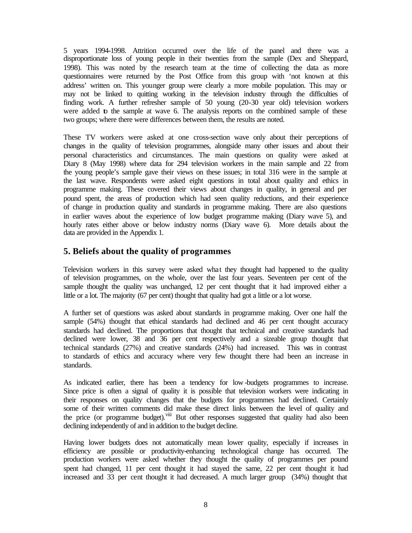5 years 1994-1998. Attrition occurred over the life of the panel and there was a disproportionate loss of young people in their twenties from the sample (Dex and Sheppard, 1998). This was noted by the research team at the time of collecting the data as more questionnaires were returned by the Post Office from this group with 'not known at this address' written on. This younger group were clearly a more mobile population. This may or may not be linked to quitting working in the television industry through the difficulties of finding work. A further refresher sample of 50 young (20-30 year old) television workers were added to the sample at wave 6. The analysis reports on the combined sample of these two groups; where there were differences between them, the results are noted.

These TV workers were asked at one cross-section wave only about their perceptions of changes in the quality of television programmes, alongside many other issues and about their personal characteristics and circumstances. The main questions on quality were asked at Diary 8 (May 1998) where data for 294 television workers in the main sample and 22 from the young people's sample gave their views on these issues; in total 316 were in the sample at the last wave. Respondents were asked eight questions in total about quality and ethics in programme making. These covered their views about changes in quality, in general and per pound spent, the areas of production which had seen quality reductions, and their experience of change in production quality and standards in programme making. There are also questions in earlier waves about the experience of low budget programme making (Diary wave 5), and hourly rates either above or below industry norms (Diary wave 6). More details about the data are provided in the Appendix 1.

# **5. Beliefs about the quality of programmes**

Television workers in this survey were asked what they thought had happened to the quality of television programmes, on the whole, over the last four years. Seventeen per cent of the sample thought the quality was unchanged, 12 per cent thought that it had improved either a little or a lot. The majority (67 per cent) thought that quality had got a little or a lot worse.

A further set of questions was asked about standards in programme making. Over one half the sample (54%) thought that ethical standards had declined and 46 per cent thought accuracy standards had declined. The proportions that thought that technical and creative standards had declined were lower, 38 and 36 per cent respectively and a sizeable group thought that technical standards (27%) and creative standards (24%) had increased. This was in contrast to standards of ethics and accuracy where very few thought there had been an increase in standards.

As indicated earlier, there has been a tendency for low -budgets programmes to increase. Since price is often a signal of quality it is possible that television workers were indicating in their responses on quality changes that the budgets for programmes had declined. Certainly some of their written comments did make these direct links between the level of quality and the price (or programme budget).<sup>viii</sup> But other responses suggested that quality had also been declining independently of and in addition to the budget decline.

Having lower budgets does not automatically mean lower quality, especially if increases in efficiency are possible or productivity-enhancing technological change has occurred. The production workers were asked whether they thought the quality of programmes per pound spent had changed, 11 per cent thought it had stayed the same, 22 per cent thought it had increased and 33 per cent thought it had decreased. A much larger group (34%) thought that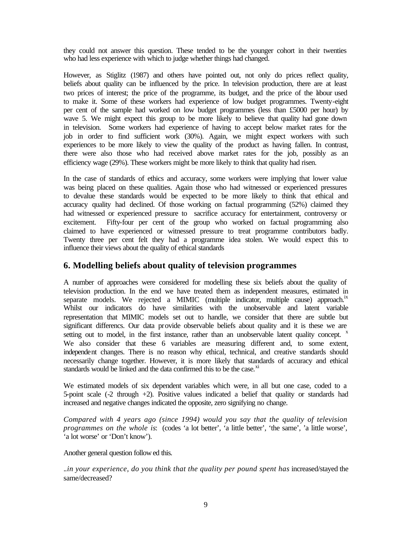they could not answer this question. These tended to be the younger cohort in their twenties who had less experience with which to judge whether things had changed.

However, as Stiglitz (1987) and others have pointed out, not only do prices reflect quality, beliefs about quality can be influenced by the price. In television production, there are at least two prices of interest; the price of the programme, its budget, and the price of the labour used to make it. Some of these workers had experience of low budget programmes. Twenty-eight per cent of the sample had worked on low budget programmes (less than £5000 per hour) by wave 5. We might expect this group to be more likely to believe that quality had gone down in television. Some workers had experience of having to accept below market rates for the job in order to find sufficient work (30%). Again, we might expect workers with such experiences to be more likely to view the quality of the product as having fallen. In contrast, there were also those who had received above market rates for the job, possibly as an efficiency wage (29%). These workers might be more likely to think that quality had risen.

In the case of standards of ethics and accuracy, some workers were implying that lower value was being placed on these qualities. Again those who had witnessed or experienced pressures to devalue these standards would be expected to be more likely to think that ethical and accuracy quality had declined. Of those working on factual programming (52%) claimed they had witnessed or experienced pressure to sacrifice accuracy for entertainment, controversy or excitement. Fifty-four per cent of the group who worked on factual programming also claimed to have experienced or witnessed pressure to treat programme contributors badly. Twenty three per cent felt they had a programme idea stolen. We would expect this to influence their views about the quality of ethical standards

## **6. Modelling beliefs about quality of television programmes**

A number of approaches were considered for modelling these six beliefs about the quality of television production. In the end we have treated them as independent measures, estimated in separate models. We rejected a MIMIC (multiple indicator, multiple cause) approach.<sup>ix</sup> Whilst our indicators do have similarities with the unobservable and latent variable representation that MIMIC models set out to handle, we consider that there are subtle but significant differencs. Our data provide observable beliefs about quality and it is these we are setting out to model, in the first instance, rather than an unobservable latent quality concept.  $x$ We also consider that these 6 variables are measuring different and, to some extent, independent changes. There is no reason why ethical, technical, and creative standards should necessarily change together. However, it is more likely that standards of accuracy and ethical standards would be linked and the data confirmed this to be the case.<sup>xi</sup>

We estimated models of six dependent variables which were, in all but one case, coded to a 5-point scale (-2 through +2). Positive values indicated a belief that quality or standards had increased and negative changes indicated the opposite, zero signifying no change.

*Compared with 4 years ago (since 1994) would you say that the quality of television programmes on the whole is*: (codes 'a lot better', 'a little better', 'the same', 'a little worse', 'a lot worse' or 'Don't know').

Another general question follow ed this.

..*in your experience, do you think that the quality per pound spent has* increased/stayed the same/decreased?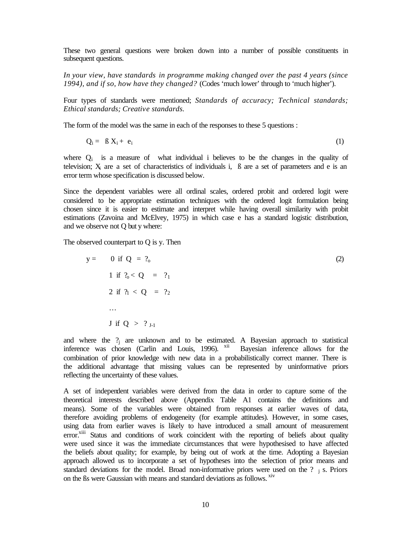These two general questions were broken down into a number of possible constituents in subsequent questions.

*In your view, have standards in programme making changed over the past 4 years (since 1994), and if so, how have they changed?* (Codes 'much lower' through to 'much higher').

Four types of standards were mentioned; *Standards of accuracy; Technical standards; Ethical standards; Creative standards.* 

The form of the model was the same in each of the responses to these 5 questions :

$$
Q_i = \beta X_i + e_i \tag{1}
$$

where  $Q_i$  is a measure of what individual i believes to be the changes in the quality of television; X<sub>i</sub> are a set of characteristics of individuals i, B are a set of parameters and e is an error term whose specification is discussed below.

Since the dependent variables were all ordinal scales, ordered probit and ordered logit were considered to be appropriate estimation techniques with the ordered logit formulation being chosen since it is easier to estimate and interpret while having overall similarity with probit estimations (Zavoina and McElvey, 1975) in which case e has a standard logistic distribution, and we observe not Q but y where:

The observed counterpart to Q is y. Then

$$
y = 0 \text{ if } Q = ?_{0}
$$
  
\n1 if  ${}^{2}_{0} < Q = ?_{1}$   
\n2 if  ${}^{2}_{1} < Q = ?_{2}$   
\n...  
\nJ if  $Q > ?_{J-1}$  (2)

and where the  $?$  are unknown and to be estimated. A Bayesian approach to statistical inference was chosen (Carlin and Louis, 1996). <sup>xii</sup> Bayesian inference allows for the combination of prior knowledge with new data in a probabilistically correct manner. There is the additional advantage that missing values can be represented by uninformative priors reflecting the uncertainty of these values.

A set of independent variables were derived from the data in order to capture some of the theoretical interests described above (Appendix Table A1 contains the definitions and means). Some of the variables were obtained from responses at earlier waves of data, therefore avoiding problems of endogeneity (for example attitudes). However, in some cases, using data from earlier waves is likely to have introduced a small amount of measurement error.<sup>xiii</sup> Status and conditions of work coincident with the reporting of beliefs about quality were used since it was the immediate circumstances that were hypothesised to have affected the beliefs about quality; for example, by being out of work at the time. Adopting a Bayesian approach allowed us to incorporate a set of hypotheses into the selection of prior means and standard deviations for the model. Broad non-informative priors were used on the  $?$  j s. Priors on the ßs were Gaussian with means and standard deviations as follows. **xiv**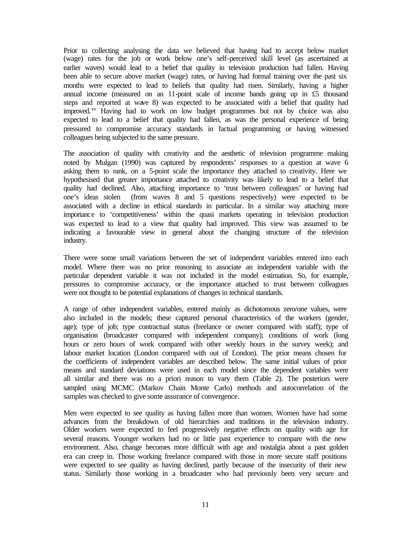Prior to collecting analysing the data we believed that having had to accept below market (wage) rates for the job or work below one's self-perceived skill level (as ascertained at earlier waves) would lead to a belief that quality in television production had fallen. Having been able to secure above market (wage) rates, or having had formal training over the past six months were expected to lead to beliefs that quality had risen. Similarly, having a higher annual income (measured on an 11-point scale of income bands going up in £5 thousand steps and reported at wave 8) was expected to be associated with a belief that quality had improved.<sup>xv</sup> Having had to work on low budget programmes but not by choice was also expected to lead to a belief that quality had fallen, as was the personal experience of being pressured to compromise accuracy standards in factual programming or having witnessed colleagues being subjected to the same pressure.

The association of quality with creativity and the aesthetic of television programme making noted by Mulgan (1990) was captured by respondents' responses to a question at wave 6 asking them to rank, on a 5-point scale the importance they attached to creativity. Here we hypothesised that greater importance attached to creativity was likely to lead to a belief that quality had declined. Also, attaching importance to 'trust between colleagues' or having had one's ideas stolen (from waves 8 and 5 questions respectively) were expected to be associated with a decline in ethical standards in particular. In a similar way attaching more importance to 'competitiveness' within the quasi markets operating in television production was expected to lead to a view that quality had improved. This view was assumed to be indicating a favourable view in general about the changing structure of the television industry.

There were some small variations between the set of independent variables entered into each model. Where there was no prior reasoning to associate an independent variable with the particular dependent variable it was not included in the model estimation. So, for example, pressures to compromise accuracy, or the importance attached to trust between colleagues were not thought to be potential explanations of changes in technical standards.

A range of other independent variables, entered mainly as dichotomous zero/one values, were also included in the models; these captured personal characteristics of the workers (gender, age); type of job; type contractual status (freelance or owner compared with staff); type of organisation (broadcaster compared with independent company); conditions of work (long hours or zero hours of work compared with other weekly hours in the survey week); and labour market location (London compared with out of London). The prior means chosen for the coefficients of independent variables are described below. The same initial values of prior means and standard deviations were used in each model since the dependent variables were all similar and there was no a priori reason to vary them (Table 2). The posteriors were sampled using MCMC (Markov Chain Monte Carlo) methods and autocorrelation of the samples was checked to give some assurance of convergence.

Men were expected to see quality as having fallen more than women. Women have had some advances from the breakdown of old hierarchies and traditions in the television industry. Older workers were expected to feel progressively negative effects on quality with age for several reasons. Younger workers had no or little past experience to compare with the new environment. Also, change becomes more difficult with age and nostalgia about a past golden era can creep in. Those working freelance compared with those in more secure staff positions were expected to see quality as having declined, partly because of the insecurity of their new status. Similarly those working in a broadcaster who had previously been very secure and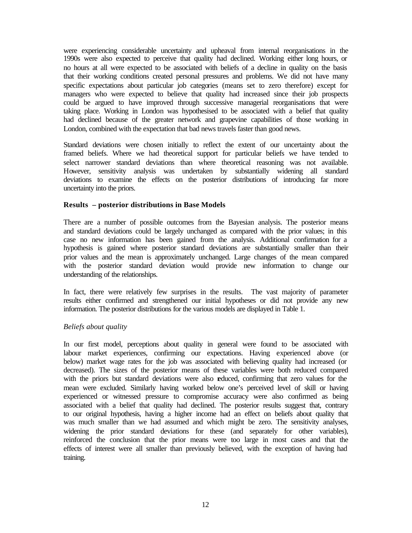were experiencing considerable uncertainty and upheaval from internal reorganisations in the 1990s were also expected to perceive that quality had declined. Working either long hours, or no hours at all were expected to be associated with beliefs of a decline in quality on the basis that their working conditions created personal pressures and problems. We did not have many specific expectations about particular job categories (means set to zero therefore) except for managers who were expected to believe that quality had increased since their job prospects could be argued to have improved through successive managerial reorganisations that were taking place. Working in London was hypothesised to be associated with a belief that quality had declined because of the greater network and grapevine capabilities of those working in London, combined with the expectation that bad news travels faster than good news.

Standard deviations were chosen initially to reflect the extent of our uncertainty about the framed beliefs. Where we had theoretical support for particular beliefs we have tended to select narrower standard deviations than where theoretical reasoning was not available. However, sensitivity analysis was undertaken by substantially widening all standard deviations to examine the effects on the posterior distributions of introducing far more uncertainty into the priors.

#### **Results – posterior distributions in Base Models**

There are a number of possible outcomes from the Bayesian analysis. The posterior means and standard deviations could be largely unchanged as compared with the prior values; in this case no new information has been gained from the analysis. Additional confirmation for a hypothesis is gained where posterior standard deviations are substantially smaller than their prior values and the mean is approximately unchanged. Large changes of the mean compared with the posterior standard deviation would provide new information to change our understanding of the relationships.

In fact, there were relatively few surprises in the results. The vast majority of parameter results either confirmed and strengthened our initial hypotheses or did not provide any new information. The posterior distributions for the various models are displayed in Table 1.

#### *Beliefs about quality*

In our first model, perceptions about quality in general were found to be associated with labour market experiences, confirming our expectations. Having experienced above (or below) market wage rates for the job was associated with believing quality had increased (or decreased). The sizes of the posterior means of these variables were both reduced compared with the priors but standard deviations were also reduced, confirming that zero values for the mean were excluded. Similarly having worked below one's perceived level of skill or having experienced or witnessed pressure to compromise accuracy were also confirmed as being associated with a belief that quality had declined. The posterior results suggest that, contrary to our original hypothesis, having a higher income had an effect on beliefs about quality that was much smaller than we had assumed and which might be zero. The sensitivity analyses, widening the prior standard deviations for these (and separately for other variables), reinforced the conclusion that the prior means were too large in most cases and that the effects of interest were all smaller than previously believed, with the exception of having had training.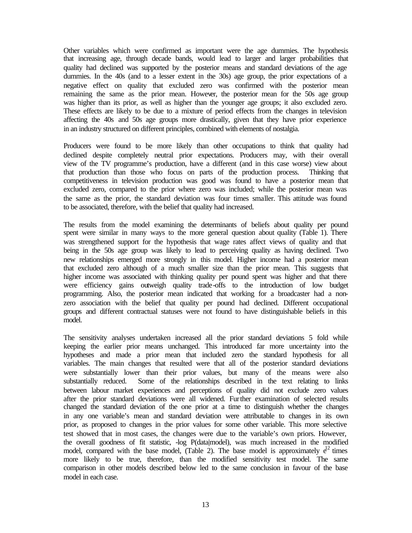Other variables which were confirmed as important were the age dummies. The hypothesis that increasing age, through decade bands, would lead to larger and larger probabilities that quality had declined was supported by the posterior means and standard deviations of the age dummies. In the 40s (and to a lesser extent in the 30s) age group, the prior expectations of a negative effect on quality that excluded zero was confirmed with the posterior mean remaining the same as the prior mean. However, the posterior mean for the 50s age group was higher than its prior, as well as higher than the younger age groups; it also excluded zero. These effects are likely to be due to a mixture of period effects from the changes in television affecting the 40s and 50s age groups more drastically, given that they have prior experience in an industry structured on different principles, combined with elements of nostalgia.

Producers were found to be more likely than other occupations to think that quality had declined despite completely neutral prior expectations. Producers may, with their overall view of the TV programme's production, have a different (and in this case worse) view about that production than those who focus on parts of the production process. Thinking that competitiveness in television production was good was found to have a posterior mean that excluded zero, compared to the prior where zero was included; while the posterior mean was the same as the prior, the standard deviation was four times smaller. This attitude was found to be associated, therefore, with the belief that quality had increased.

The results from the model examining the determinants of beliefs about quality per pound spent were similar in many ways to the more general question about quality (Table 1). There was strengthened support for the hypothesis that wage rates affect views of quality and that being in the 50s age group was likely to lead to perceiving quality as having declined. Two new relationships emerged more strongly in this model. Higher income had a posterior mean that excluded zero although of a much smaller size than the prior mean. This suggests that higher income was associated with thinking quality per pound spent was higher and that there were efficiency gains outweigh quality trade-offs to the introduction of low budget programming. Also, the posterior mean indicated that working for a broadcaster had a nonzero association with the belief that quality per pound had declined. Different occupational groups and different contractual statuses were not found to have distinguishable beliefs in this model.

The sensitivity analyses undertaken increased all the prior standard deviations 5 fold while keeping the earlier prior means unchanged. This introduced far more uncertainty into the hypotheses and made a prior mean that included zero the standard hypothesis for all variables. The main changes that resulted were that all of the posterior standard deviations were substantially lower than their prior values, but many of the means were also substantially reduced. Some of the relationships described in the text relating to links between labour market experiences and perceptions of quality did not exclude zero values after the prior standard deviations were all widened. Further examination of selected results changed the standard deviation of the one prior at a time to distinguish whether the changes in any one variable's mean and standard deviation were attributable to changes in its own prior, as proposed to changes in the prior values for some other variable. This more selective test showed that in most cases, the changes were due to the variable's own priors. However, the overall goodness of fit statistic, -log P(data|model), was much increased in the modified model, compared with the base model, (Table 2). The base model is approximately  $e^{12}$  times more likely to be true, therefore, than the modified sensitivity test model. The same comparison in other models described below led to the same conclusion in favour of the base model in each case.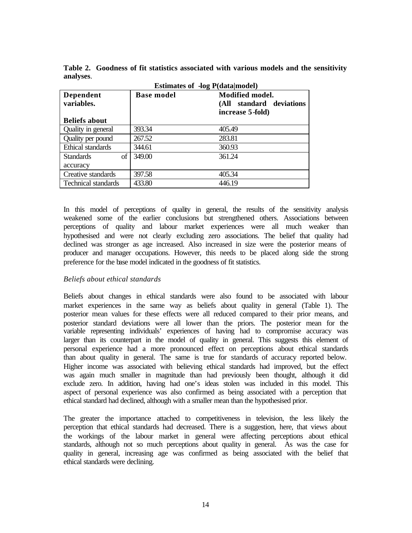|                            | <b>Estimates of -log P(data model)</b> |                                                                             |  |  |  |  |  |
|----------------------------|----------------------------------------|-----------------------------------------------------------------------------|--|--|--|--|--|
| Dependent<br>variables.    | <b>Base model</b>                      | <b>Modified model.</b><br>standard deviations<br>(All –<br>increase 5-fold) |  |  |  |  |  |
| <b>Beliefs about</b>       |                                        |                                                                             |  |  |  |  |  |
| Quality in general         | 393.34                                 | 405.49                                                                      |  |  |  |  |  |
| Quality per pound          | 267.52                                 | 283.81                                                                      |  |  |  |  |  |
| <b>Ethical standards</b>   | 344.61                                 | 360.93                                                                      |  |  |  |  |  |
| <b>Standards</b><br>of     | 349.00                                 | 361.24                                                                      |  |  |  |  |  |
| accuracy                   |                                        |                                                                             |  |  |  |  |  |
| Creative standards         | 397.58                                 | 405.34                                                                      |  |  |  |  |  |
| <b>Technical standards</b> | 433.80                                 | 446.19                                                                      |  |  |  |  |  |

**Table 2. Goodness of fit statistics associated with various models and the sensitivity analyses**.

In this model of perceptions of quality in general, the results of the sensitivity analysis weakened some of the earlier conclusions but strengthened others. Associations between perceptions of quality and labour market experiences were all much weaker than hypothesised and were not clearly excluding zero associations. The belief that quality had declined was stronger as age increased. Also increased in size were the posterior means of producer and manager occupations. However, this needs to be placed along side the strong preference for the base model indicated in the goodness of fit statistics.

## *Beliefs about ethical standards*

Beliefs about changes in ethical standards were also found to be associated with labour market experiences in the same way as beliefs about quality in general (Table 1). The posterior mean values for these effects were all reduced compared to their prior means, and posterior standard deviations were all lower than the priors. The posterior mean for the variable representing individuals' experiences of having had to compromise accuracy was larger than its counterpart in the model of quality in general. This suggests this element of personal experience had a more pronounced effect on perceptions about ethical standards than about quality in general. The same is true for standards of accuracy reported below. Higher income was associated with believing ethical standards had improved, but the effect was again much smaller in magnitude than had previously been thought, although it did exclude zero. In addition, having had one's ideas stolen was included in this model. This aspect of personal experience was also confirmed as being associated with a perception that ethical standard had declined, although with a smaller mean than the hypothesised prior.

The greater the importance attached to competitiveness in television, the less likely the perception that ethical standards had decreased. There is a suggestion, here, that views about the workings of the labour market in general were affecting perceptions about ethical standards, although not so much perceptions about quality in general. As was the case for quality in general, increasing age was confirmed as being associated with the belief that ethical standards were declining.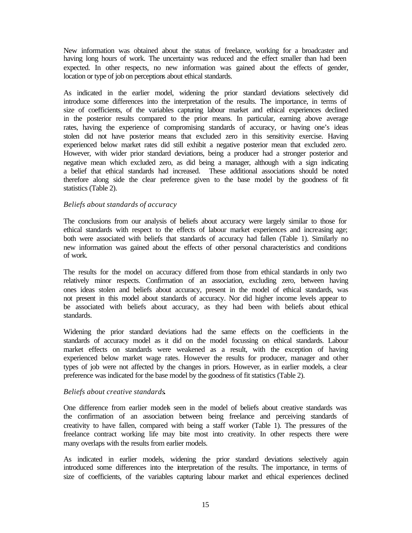New information was obtained about the status of freelance, working for a broadcaster and having long hours of work. The uncertainty was reduced and the effect smaller than had been expected. In other respects, no new information was gained about the effects of gender, location or type of job on perceptions about ethical standards.

As indicated in the earlier model, widening the prior standard deviations selectively did introduce some differences into the interpretation of the results. The importance, in terms of size of coefficients, of the variables capturing labour market and ethical experiences declined in the posterior results compared to the prior means. In particular, earning above average rates, having the experience of compromising standards of accuracy, or having one's ideas stolen did not have posterior means that excluded zero in this sensitivity exercise. Having experienced below market rates did still exhibit a negative posterior mean that excluded zero. However, with wider prior standard deviations, being a producer had a stronger posterior and negative mean which excluded zero, as did being a manager, although with a sign indicating a belief that ethical standards had increased. These additional associations should be noted therefore along side the clear preference given to the base model by the goodness of fit statistics (Table 2).

#### *Beliefs about standards of accuracy*

The conclusions from our analysis of beliefs about accuracy were largely similar to those for ethical standards with respect to the effects of labour market experiences and increasing age; both were associated with beliefs that standards of accuracy had fallen (Table 1). Similarly no new information was gained about the effects of other personal characteristics and conditions of work.

The results for the model on accuracy differed from those from ethical standards in only two relatively minor respects. Confirmation of an association, excluding zero, between having ones ideas stolen and beliefs about accuracy, present in the model of ethical standards, was not present in this model about standards of accuracy. Nor did higher income levels appear to be associated with beliefs about accuracy, as they had been with beliefs about ethical standards.

Widening the prior standard deviations had the same effects on the coefficients in the standards of accuracy model as it did on the model focussing on ethical standards. Labour market effects on standards were weakened as a result, with the exception of having experienced below market wage rates. However the results for producer, manager and other types of job were not affected by the changes in priors. However, as in earlier models, a clear preference was indicated for the base model by the goodness of fit statistics (Table 2).

## *Beliefs about creative standards.*

One difference from earlier models seen in the model of beliefs about creative standards was the confirmation of an association between being freelance and perceiving standards of creativity to have fallen, compared with being a staff worker (Table 1). The pressures of the freelance contract working life may bite most into creativity. In other respects there were many overlaps with the results from earlier models.

As indicated in earlier models, widening the prior standard deviations selectively again introduced some differences into the interpretation of the results. The importance, in terms of size of coefficients, of the variables capturing labour market and ethical experiences declined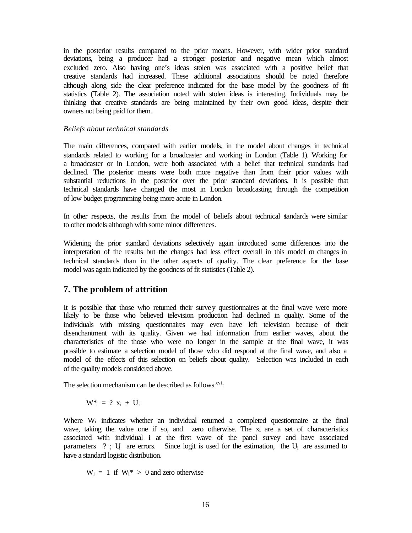in the posterior results compared to the prior means. However, with wider prior standard deviations, being a producer had a stronger posterior and negative mean which almost excluded zero. Also having one's ideas stolen was associated with a positive belief that creative standards had increased. These additional associations should be noted therefore although along side the clear preference indicated for the base model by the goodness of fit statistics (Table 2). The association noted with stolen ideas is interesting. Individuals may be thinking that creative standards are being maintained by their own good ideas, despite their owners not being paid for them.

#### *Beliefs about technical standards*

The main differences, compared with earlier models, in the model about changes in technical standards related to working for a broadcaster and working in London (Table 1). Working for a broadcaster or in London, were both associated with a belief that technical standards had declined. The posterior means were both more negative than from their prior values with substantial reductions in the posterior over the prior standard deviations. It is possible that technical standards have changed the most in London broadcasting through the competition of low budget programming being more acute in London.

In other respects, the results from the model of beliefs about technical standards were similar to other models although with some minor differences.

Widening the prior standard deviations selectively again introduced some differences into the interpretation of the results but the changes had less effect overall in this model on changes in technical standards than in the other aspects of quality. The clear preference for the base model was again indicated by the goodness of fit statistics (Table 2).

## **7. The problem of attrition**

It is possible that those who returned their survey questionnaires at the final wave were more likely to be those who believed television production had declined in quality. Some of the individuals with missing questionnaires may even have left television because of their disenchantment with its quality. Given we had information from earlier waves, about the characteristics of the those who were no longer in the sample at the final wave, it was possible to estimate a selection model of those who did respond at the final wave, and also a model of the effects of this selection on beliefs about quality. Selection was included in each of the quality models considered above.

The selection mechanism can be described as follows <sup>xvi</sup>:

$$
W^*_{\ i} \ = \ ? \ x_i \ + \ U_i
$$

Where W<sub>i</sub> indicates whether an individual returned a completed questionnaire at the final wave, taking the value one if so, and zero otherwise. The  $x_i$  are a set of characteristics associated with individual i at the first wave of the panel survey and have associated parameters  $?$ ; U are errors. Since logit is used for the estimation, the  $U_i$  are assumed to have a standard logistic distribution.

 $W_i = 1$  if  $W_i^* > 0$  and zero otherwise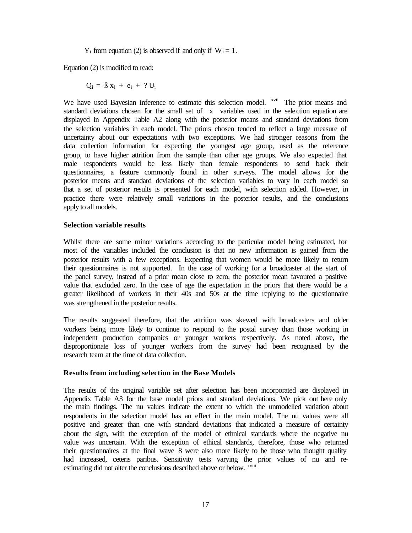$Y_i$  from equation (2) is observed if and only if  $W_i = 1$ .

Equation (2) is modified to read:

$$
Q_i = \beta x_i + e_i + ? U_i
$$

We have used Bayesian inference to estimate this selection model. <sup>xvii</sup> The prior means and standard deviations chosen for the small set of x variables used in the selection equation are displayed in Appendix Table A2 along with the posterior means and standard deviations from the selection variables in each model. The priors chosen tended to reflect a large measure of uncertainty about our expectations with two exceptions. We had stronger reasons from the data collection information for expecting the youngest age group, used as the reference group, to have higher attrition from the sample than other age groups. We also expected that male respondents would be less likely than female respondents to send back their questionnaires, a feature commonly found in other surveys. The model allows for the posterior means and standard deviations of the selection variables to vary in each model so that a set of posterior results is presented for each model, with selection added. However, in practice there were relatively small variations in the posterior results, and the conclusions apply to all models.

#### **Selection variable results**

Whilst there are some minor variations according to the particular model being estimated, for most of the variables included the conclusion is that no new information is gained from the posterior results with a few exceptions. Expecting that women would be more likely to return their questionnaires is not supported. In the case of working for a broadcaster at the start of the panel survey, instead of a prior mean close to zero, the posterior mean favoured a positive value that excluded zero. In the case of age the expectation in the priors that there would be a greater likelihood of workers in their 40s and 50s at the time replying to the questionnaire was strengthened in the posterior results.

The results suggested therefore, that the attrition was skewed with broadcasters and older workers being more likely to continue to respond to the postal survey than those working in independent production companies or younger workers respectively. As noted above, the disproportionate loss of younger workers from the survey had been recognised by the research team at the time of data collection.

## **Results from including selection in the Base Models**

The results of the original variable set after selection has been incorporated are displayed in Appendix Table A3 for the base model priors and standard deviations. We pick out here only the main findings. The nu values indicate the extent to which the unmodelled variation about respondents in the selection model has an effect in the main model. The nu values were all positive and greater than one with standard deviations that indicated a measure of certainty about the sign, with the exception of the model of ethnical standards where the negative nu value was uncertain. With the exception of ethical standards, therefore, those who returned their questionnaires at the final wave 8 were also more likely to be those who thought quality had increased, ceteris paribus. Sensitivity tests varying the prior values of nu and reestimating did not alter the conclusions described above or below. <sup>xviii</sup>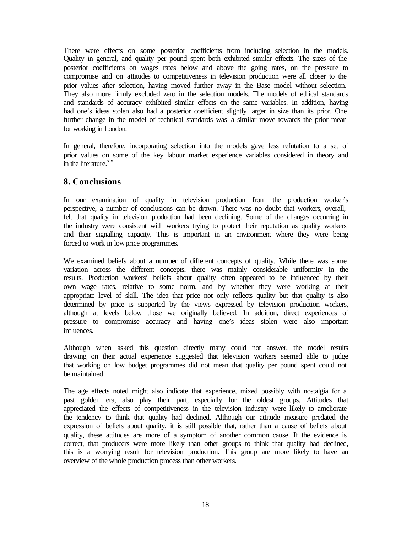There were effects on some posterior coefficients from including selection in the models. Quality in general, and quality per pound spent both exhibited similar effects. The sizes of the posterior coefficients on wages rates below and above the going rates, on the pressure to compromise and on attitudes to competitiveness in television production were all closer to the prior values after selection, having moved further away in the Base model without selection. They also more firmly excluded zero in the selection models. The models of ethical standards and standards of accuracy exhibited similar effects on the same variables. In addition, having had one's ideas stolen also had a posterior coefficient slightly larger in size than its prior. One further change in the model of technical standards was a similar move towards the prior mean for working in London.

In general, therefore, incorporating selection into the models gave less refutation to a set of prior values on some of the key labour market experience variables considered in theory and  $\sin$  the literature. $\frac{x}{x}$ 

# **8. Conclusions**

In our examination of quality in television production from the production worker's perspective, a number of conclusions can be drawn. There was no doubt that workers, overall, felt that quality in television production had been declining. Some of the changes occurring in the industry were consistent with workers trying to protect their reputation as quality workers and their signalling capacity. This is important in an environment where they were being forced to work in low price programmes.

We examined beliefs about a number of different concepts of quality. While there was some variation across the different concepts, there was mainly considerable uniformity in the results. Production workers' beliefs about quality often appeared to be influenced by their own wage rates, relative to some norm, and by whether they were working at their appropriate level of skill. The idea that price not only reflects quality but that quality is also determined by price is supported by the views expressed by television production workers, although at levels below those we originally believed. In addition, direct experiences of pressure to compromise accuracy and having one's ideas stolen were also important influences.

Although when asked this question directly many could not answer, the model results drawing on their actual experience suggested that television workers seemed able to judge that working on low budget programmes did not mean that quality per pound spent could not be maintained.

The age effects noted might also indicate that experience, mixed possibly with nostalgia for a past golden era, also play their part, especially for the oldest groups. Attitudes that appreciated the effects of competitiveness in the television industry were likely to ameliorate the tendency to think that quality had declined. Although our attitude measure predated the expression of beliefs about quality, it is still possible that, rather than a cause of beliefs about quality, these attitudes are more of a symptom of another common cause. If the evidence is correct, that producers were more likely than other groups to think that quality had declined, this is a worrying result for television production. This group are more likely to have an overview of the whole production process than other workers.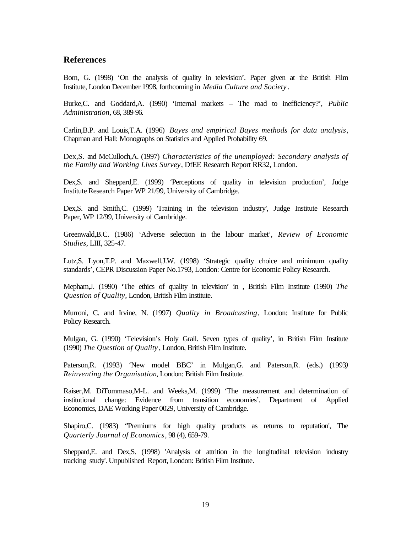## **References**

Born, G. (1998) 'On the analysis of quality in television'. Paper given at the British Film Institute, London December 1998, forthcoming in *Media Culture and Society* .

Burke,C. and Goddard,A. (1990) 'Internal markets – The road to inefficiency?'*, Public Administration*, 68, 389-96.

Carlin,B.P. and Louis,T.A. (1996) *Bayes and empirical Bayes methods for data analysis*, Chapman and Hall: Monographs on Statistics and Applied Probability 69.

Dex,S. and McCulloch,A. (1997) *Characteristics of the unemployed: Secondary analysis of the Family and Working Lives Survey*, DfEE Research Report RR32, London.

Dex,S. and Sheppard,E. (1999) 'Perceptions of quality in television production', Judge Institute Research Paper WP 21/99, University of Cambridge.

Dex,S. and Smith,C. (1999) 'Training in the television industry', Judge Institute Research Paper, WP 12/99, University of Cambridge.

Greenwald,B.C. (1986) 'Adverse selection in the labour market', *Review of Economic Studies,* LIII, 325-47.

Lutz,S. Lyon,T.P. and Maxwell,J.W. (1998) 'Strategic quality choice and minimum quality standards', CEPR Discussion Paper No.1793, London: Centre for Economic Policy Research.

Mepham,J. (1990) 'The ethics of quality in television' in , British Film Institute (1990) *The Question of Quality*, London, British Film Institute.

Murroni, C. and Irvine, N. (1997) *Quality in Broadcasting*, London: Institute for Public Policy Research.

Mulgan, G. (1990) 'Television's Holy Grail. Seven types of quality', in British Film Institute (1990) *The Question of Quality* , London, British Film Institute.

Paterson,R. (1993) 'New model BBC' in Mulgan,G. and Paterson,R. (eds.) (1993*) Reinventing the Organisation*, London: British Film Institute.

Raiser,M. DiTommaso,M-L. and Weeks,M. (1999) 'The measurement and determination of institutional change: Evidence from transition economies', Department of Applied Economics, DAE Working Paper 0029, University of Cambridge.

Shapiro,C. (1983) ''Premiums for high quality products as returns to reputation', The *Quarterly Journal of Economics*, 98 (4), 659-79.

Sheppard,E. and Dex,S. (1998) 'Analysis of attrition in the longitudinal television industry tracking study'. Unpublished Report, London: British Film Institute.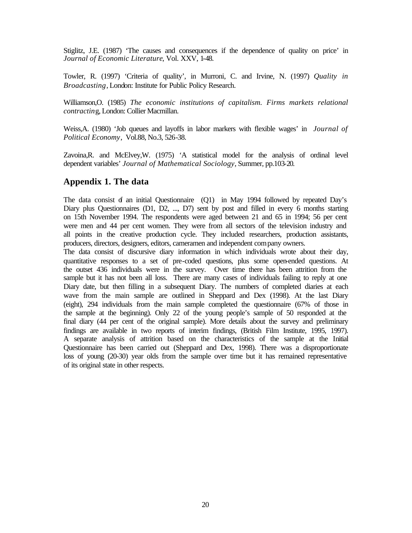Stiglitz, J.E. (1987) 'The causes and consequences if the dependence of quality on price' in *Journal of Economic Literature*, Vol. XXV, 1-48.

Towler, R. (1997) 'Criteria of quality', in Murroni, C. and Irvine, N. (1997) *Quality in Broadcasting*, London: Institute for Public Policy Research.

Williamson,O. (1985) *The economic institutions of capitalism. Firms markets relational contractin*g, London: Collier Macmillan.

Weiss,A. (1980) 'Job queues and layoffs in labor markers with flexible wages' in *Journal of Political Economy*, Vol.88, No.3, 526-38.

Zavoina,R. and McElvey,W. (1975) 'A statistical model for the analysis of ordinal level dependent variables' *Journal of Mathematical Sociology*, Summer, pp.103-20.

## **Appendix 1. The data**

The data consist  $\dot{\sigma}$  an initial Questionnaire (Q1) in May 1994 followed by repeated Day's Diary plus Questionnaires (D1, D2, ..., D7) sent by post and filled in every 6 months starting on 15th November 1994. The respondents were aged between 21 and 65 in 1994; 56 per cent were men and 44 per cent women. They were from all sectors of the television industry and all points in the creative production cycle. They included researchers, production assistants, producers, directors, designers, editors, cameramen and independent company owners.

The data consist of discursive diary information in which individuals wrote about their day, quantitative responses to a set of pre-coded questions, plus some open-ended questions. At the outset 436 individuals were in the survey. Over time there has been attrition from the sample but it has not been all loss. There are many cases of individuals failing to reply at one Diary date, but then filling in a subsequent Diary. The numbers of completed diaries at each wave from the main sample are outlined in Sheppard and Dex (1998). At the last Diary (eight), 294 individuals from the main sample completed the questionnaire (67% of those in the sample at the beginning). Only 22 of the young people's sample of 50 responded at the final diary (44 per cent of the original sample). More details about the survey and preliminary findings are available in two reports of interim findings, (British Film Institute, 1995, 1997). A separate analysis of attrition based on the characteristics of the sample at the Initial Questionnaire has been carried out (Sheppard and Dex, 1998). There was a disproportionate loss of young (20-30) year olds from the sample over time but it has remained representative of its original state in other respects.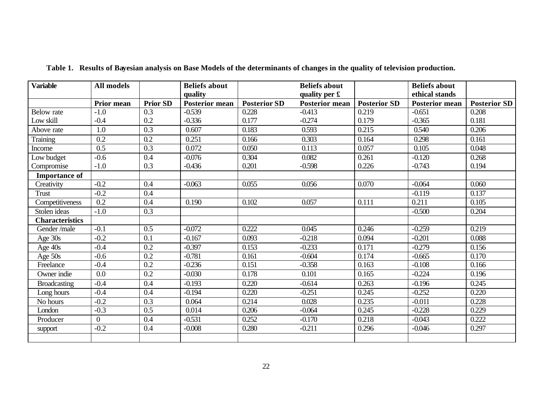| <b>Variable</b>        | <b>All models</b> |                 | <b>Beliefs about</b>  |                     | <b>Beliefs about</b>    |                     | <b>Beliefs about</b>  |                     |
|------------------------|-------------------|-----------------|-----------------------|---------------------|-------------------------|---------------------|-----------------------|---------------------|
|                        |                   |                 | quality               |                     | quality per $\mathbf f$ |                     | ethical stands        |                     |
|                        | Prior mean        | <b>Prior SD</b> | <b>Posterior mean</b> | <b>Posterior SD</b> | <b>Posterior mean</b>   | <b>Posterior SD</b> | <b>Posterior mean</b> | <b>Posterior SD</b> |
| <b>Below</b> rate      | $-1.0$            | 0.3             | $-0.539$              | 0.228               | $-0.413$                | 0.219               | $-0.651$              | 0.208               |
| Low skill              | $-0.4$            | 0.2             | $-0.336$              | 0.177               | $-0.274$                | 0.179               | $-0.365$              | 0.181               |
| Above rate             | 1.0               | 0.3             | 0.607                 | 0.183               | 0.593                   | 0.215               | 0.540                 | 0.206               |
| Training               | 0.2               | $0.2\,$         | 0.251                 | 0.166               | 0.303                   | 0.164               | 0.298                 | 0.161               |
| Income                 | $\overline{0.5}$  | 0.3             | 0.072                 | 0.050               | 0.113                   | 0.057               | 0.105                 | 0.048               |
| Low budget             | $-0.6$            | 0.4             | $-0.076$              | 0.304               | 0.082                   | 0.261               | $-0.120$              | 0.268               |
| Compromise             | $-1.0$            | 0.3             | $-0.436$              | 0.201               | $-0.598$                | 0.226               | $-0.743$              | 0.194               |
| <b>Importance of</b>   |                   |                 |                       |                     |                         |                     |                       |                     |
| Creativity             | $-0.2$            | 0.4             | $-0.063$              | 0.055               | 0.056                   | 0.070               | $-0.064$              | 0.060               |
| <b>Trust</b>           | $-0.2$            | 0.4             |                       |                     |                         |                     | $-0.119$              | 0.137               |
| Competitiveness        | $\overline{0.2}$  | 0.4             | 0.190                 | 0.102               | 0.057                   | 0.111               | 0.211                 | 0.105               |
| Stolen ideas           | $-1.0$            | 0.3             |                       |                     |                         |                     | $-0.500$              | 0.204               |
| <b>Characteristics</b> |                   |                 |                       |                     |                         |                     |                       |                     |
| Gender/male            | $-0.1$            | 0.5             | $-0.072$              | 0.222               | 0.045                   | 0.246               | $-0.259$              | 0.219               |
| Age 30s                | $-0.2$            | 0.1             | $-0.167$              | 0.093               | $-0.218$                | 0.094               | $-0.201$              | 0.088               |
| Age 40s                | $-0.4$            | 0.2             | $-0.397$              | 0.153               | $-0.233$                | 0.171               | $-0.279$              | 0.156               |
| Age $50s$              | $-0.6$            | 0.2             | $-0.781$              | 0.161               | $-0.604$                | 0.174               | $-0.665$              | 0.170               |
| Freelance              | $-0.4$            | 0.2             | $-0.236$              | 0.151               | $-0.358$                | 0.163               | $-0.108$              | 0.166               |
| Owner indie            | 0.0               | 0.2             | $-0.030$              | 0.178               | 0.101                   | 0.165               | $-0.224$              | 0.196               |
| <b>Broadcasting</b>    | $-0.4$            | 0.4             | $-0.193$              | 0.220               | $-0.614$                | 0.263               | $-0.196$              | 0.245               |
| Long hours             | $-0.4$            | 0.4             | $-0.194$              | 0.220               | $-0.251$                | 0.245               | $-0.252$              | 0.220               |
| No hours               | $-0.2$            | 0.3             | 0.064                 | 0.214               | 0.028                   | 0.235               | $-0.011$              | 0.228               |
| London                 | $-0.3$            | 0.5             | 0.014                 | 0.206               | $-0.064$                | 0.245               | $-0.228$              | 0.229               |
| Producer               | $\overline{0}$    | 0.4             | $-0.531$              | 0.252               | $-0.170$                | 0.218               | $-0.043$              | 0.222               |
| support                | $-0.2$            | 0.4             | $-0.008$              | 0.280               | $-0.211$                | 0.296               | $-0.046$              | 0.297               |
|                        |                   |                 |                       |                     |                         |                     |                       |                     |

**Table 1. Results of Bayesian analysis on Base Models of the determinants of changes in the quality of television production.**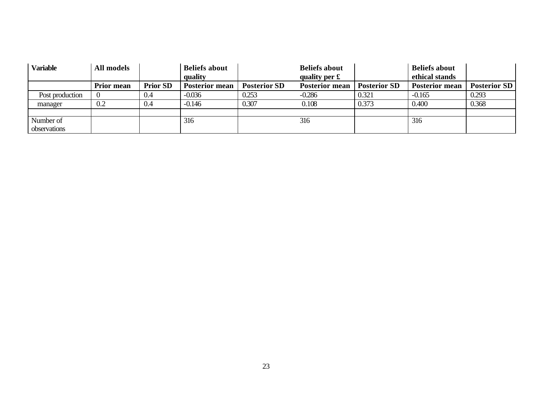| <b>Variable</b>           | All models        |                 | <b>Beliefs about</b><br>quality |                     | <b>Beliefs about</b><br>quality per $\mathbf f$ |                     | <b>Beliefs about</b><br>ethical stands |                     |
|---------------------------|-------------------|-----------------|---------------------------------|---------------------|-------------------------------------------------|---------------------|----------------------------------------|---------------------|
|                           | <b>Prior mean</b> | <b>Prior SD</b> | <b>Posterior mean</b>           | <b>Posterior SD</b> | <b>Posterior mean</b>                           | <b>Posterior SD</b> | <b>Posterior mean</b>                  | <b>Posterior SD</b> |
| Post production           |                   | 0.4             | $-0.036$                        | 0.253               | $-0.286$                                        | 0.321               | $-0.165$                               | 0.293               |
| manager                   | 0.2               | 0.4             | $-0.146$                        | 0.307               | 0.108                                           | 0.373               | 0.400                                  | 0.368               |
|                           |                   |                 |                                 |                     |                                                 |                     |                                        |                     |
| Number of<br>observations |                   |                 | 316                             |                     | 316                                             |                     | 316                                    |                     |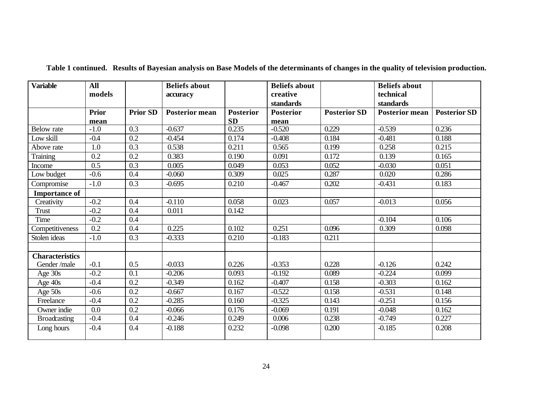| <b>Variable</b>        | <b>All</b><br>models |                 | <b>Beliefs about</b><br>accuracy |                  | <b>Beliefs about</b><br>creative |                     | <b>Beliefs about</b><br>technical |                     |
|------------------------|----------------------|-----------------|----------------------------------|------------------|----------------------------------|---------------------|-----------------------------------|---------------------|
|                        |                      |                 |                                  |                  | standards                        |                     | standards                         |                     |
|                        | <b>Prior</b>         | <b>Prior SD</b> | <b>Posterior mean</b>            | <b>Posterior</b> | <b>Posterior</b>                 | <b>Posterior SD</b> | <b>Posterior mean</b>             | <b>Posterior SD</b> |
|                        | mean                 |                 |                                  | <b>SD</b>        | mean                             |                     |                                   |                     |
| <b>Below</b> rate      | $-1.0$               | 0.3             | $-0.637$                         | 0.235            | $-0.520$                         | 0.229               | $-0.539$                          | 0.236               |
| Low skill              | $-0.4$               | 0.2             | $-0.454$                         | 0.174            | $-0.408$                         | 0.184               | $-0.481$                          | 0.188               |
| Above rate             | 1.0                  | 0.3             | 0.538                            | 0.211            | 0.565                            | 0.199               | 0.258                             | 0.215               |
| <b>Training</b>        | 0.2                  | 0.2             | 0.383                            | 0.190            | 0.091                            | 0.172               | 0.139                             | 0.165               |
| Income                 | 0.5                  | 0.3             | 0.005                            | 0.049            | 0.053                            | 0.052               | $-0.030$                          | 0.051               |
| Low budget             | $-0.6$               | 0.4             | $-0.060$                         | 0.309            | 0.025                            | 0.287               | 0.020                             | 0.286               |
| Compromise             | $-1.0$               | 0.3             | $-0.695$                         | 0.210            | $-0.467$                         | 0.202               | $-0.431$                          | 0.183               |
| <b>Importance of</b>   |                      |                 |                                  |                  |                                  |                     |                                   |                     |
| Creativity             | $-0.2$               | 0.4             | $-0.110$                         | 0.058            | 0.023                            | 0.057               | $-0.013$                          | 0.056               |
| <b>Trust</b>           | $-0.2$               | 0.4             | 0.011                            | 0.142            |                                  |                     |                                   |                     |
| Time                   | $-0.2$               | 0.4             |                                  |                  |                                  |                     | $-0.104$                          | 0.106               |
| Competitiveness        | 0.2                  | 0.4             | 0.225                            | 0.102            | 0.251                            | 0.096               | 0.309                             | 0.098               |
| Stolen ideas           | $-1.0$               | 0.3             | $-0.333$                         | 0.210            | $-0.183$                         | 0.211               |                                   |                     |
|                        |                      |                 |                                  |                  |                                  |                     |                                   |                     |
| <b>Characteristics</b> |                      |                 |                                  |                  |                                  |                     |                                   |                     |
| Gender/male            | $-0.1$               | 0.5             | $-0.033$                         | 0.226            | $-0.353$                         | 0.228               | $-0.126$                          | 0.242               |
| Age 30s                | $-0.2$               | 0.1             | $-0.206$                         | 0.093            | $-0.192$                         | 0.089               | $-0.224$                          | 0.099               |
| Age 40s                | $-0.4$               | 0.2             | $-0.349$                         | 0.162            | $-0.407$                         | 0.158               | $-0.303$                          | 0.162               |
| Age 50s                | $-0.6$               | 0.2             | $-0.667$                         | 0.167            | $-0.522$                         | 0.158               | $-0.531$                          | 0.148               |
| Freelance              | $-0.4$               | 0.2             | $-0.285$                         | 0.160            | $-0.325$                         | 0.143               | $-0.251$                          | 0.156               |
| Owner indie            | 0.0                  | 0.2             | $-0.066$                         | 0.176            | $-0.069$                         | 0.191               | $-0.048$                          | 0.162               |
| <b>Broadcasting</b>    | $-0.4$               | 0.4             | $-0.246$                         | 0.249            | 0.006                            | 0.238               | $-0.749$                          | 0.227               |
| Long hours             | $-0.4$               | 0.4             | $-0.188$                         | 0.232            | $-0.098$                         | 0.200               | $-0.185$                          | 0.208               |

**Table 1 continued. Results of Bayesian analysis on Base Models of the determinants of changes in the quality of television production.**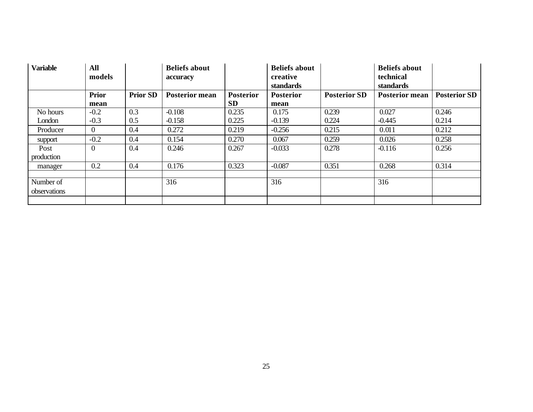| <b>Variable</b> | <b>All</b><br>models |                 | <b>Beliefs about</b><br>accuracy |                  | <b>Beliefs about</b><br>creative |                     | <b>Beliefs about</b><br>technical  |                     |
|-----------------|----------------------|-----------------|----------------------------------|------------------|----------------------------------|---------------------|------------------------------------|---------------------|
|                 | <b>Prior</b>         | <b>Prior SD</b> | <b>Posterior mean</b>            | <b>Posterior</b> | standards<br><b>Posterior</b>    | <b>Posterior SD</b> | standards<br><b>Posterior mean</b> | <b>Posterior SD</b> |
|                 | mean                 |                 |                                  | <b>SD</b>        | mean                             |                     |                                    |                     |
| No hours        | $-0.2$               | 0.3             | $-0.108$                         | 0.235            | 0.175                            | 0.239               | 0.027                              | 0.246               |
| London          | $-0.3$               | 0.5             | $-0.158$                         | 0.225            | $-0.139$                         | 0.224               | $-0.445$                           | 0.214               |
| Producer        | $\theta$             | 0.4             | 0.272                            | 0.219            | $-0.256$                         | 0.215               | 0.011                              | 0.212               |
| support         | $-0.2$               | 0.4             | 0.154                            | 0.270            | 0.067                            | 0.259               | 0.026                              | 0.258               |
| Post            | $\Omega$             | 0.4             | 0.246                            | 0.267            | $-0.033$                         | 0.278               | $-0.116$                           | 0.256               |
| production      |                      |                 |                                  |                  |                                  |                     |                                    |                     |
| manager         | 0.2                  | 0.4             | 0.176                            | 0.323            | $-0.087$                         | 0.351               | 0.268                              | 0.314               |
|                 |                      |                 |                                  |                  |                                  |                     |                                    |                     |
| Number of       |                      |                 | 316                              |                  | 316                              |                     | 316                                |                     |
| observations    |                      |                 |                                  |                  |                                  |                     |                                    |                     |
|                 |                      |                 |                                  |                  |                                  |                     |                                    |                     |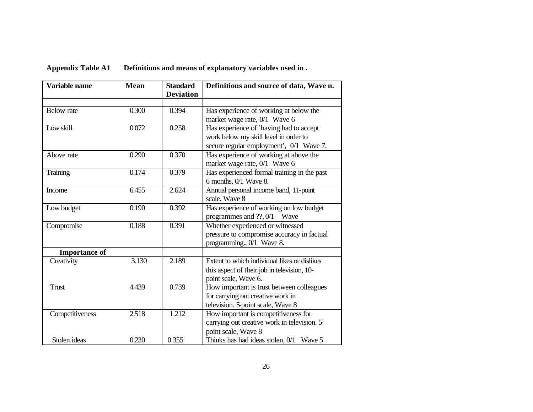| Definitions and means of explanatory variables used in.<br><b>Appendix Table A1</b> |
|-------------------------------------------------------------------------------------|
|-------------------------------------------------------------------------------------|

| Variable name        | <b>Mean</b> | <b>Standard</b><br><b>Deviation</b> | Definitions and source of data, Wave n.                                                                                                                     |
|----------------------|-------------|-------------------------------------|-------------------------------------------------------------------------------------------------------------------------------------------------------------|
| <b>Below</b> rate    | 0.300       | 0.394                               | Has experience of working at below the                                                                                                                      |
| Low skill            | 0.072       | 0.258                               | market wage rate, 0/1 Wave 6<br>Has experience of 'having had to accept<br>work below my skill level in order to<br>secure regular employment', 0/1 Wave 7. |
| Above rate           | 0.290       | 0.370                               | Has experience of working at above the<br>market wage rate, 0/1 Wave 6                                                                                      |
| Training             | 0.174       | 0.379                               | Has experienced formal training in the past<br>6 months, 0/1 Wave 8.                                                                                        |
| Income               | 6.455       | 2.624                               | Annual personal income band, 11-point<br>scale, Wave 8                                                                                                      |
| Low budget           | 0.190       | 0.392                               | Has experience of working on low budget<br>programmes and ??, 0/1 Wave                                                                                      |
| Compromise           | 0.188       | 0.391                               | Whether experienced or witnessed<br>pressure to compromise accuracy in factual<br>programming., 0/1 Wave 8.                                                 |
| <b>Importance of</b> |             |                                     |                                                                                                                                                             |
| Creativity           | 3.130       | 2.189                               | Extent to which individual likes or dislikes<br>this aspect of their job in television, 10-<br>point scale, Wave 6.                                         |
| <b>Trust</b>         | 4.439       | 0.739                               | How important is trust between colleagues<br>for carrying out creative work in<br>television. 5-point scale, Wave 8                                         |
| Competitiveness      | 2.518       | 1.212                               | How important is competitiveness for<br>carrying out creative work in television. 5-<br>point scale, Wave 8                                                 |
| Stolen ideas         | 0.230       | 0.355                               | Thinks has had ideas stolen, $0/1$ Wave 5                                                                                                                   |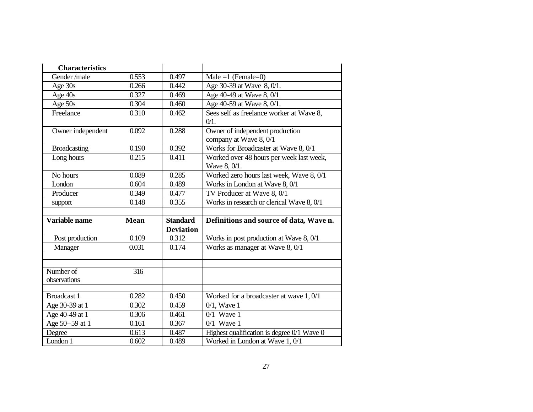| <b>Characteristics</b> |                  |                  |                                                |
|------------------------|------------------|------------------|------------------------------------------------|
| Gender/male            | 0.553            | 0.497            | Male =1 (Female=0)                             |
| Age 30s                | 0.266            | 0.442            | Age 30-39 at Wave 8, 0/1.                      |
| Age 40s                | 0.327            | 0.469            | Age 40-49 at Wave 8, 0/1                       |
| Age 50s                | 0.304            | 0.460            | Age 40-59 at Wave 8, $0/1$ .                   |
| Freelance              | 0.310            | 0.462            | Sees self as freelance worker at Wave 8,       |
|                        |                  |                  | $0/1$ .                                        |
| Owner independent      | 0.092            | 0.288            | Owner of independent production                |
|                        |                  |                  | company at Wave 8, 0/1                         |
| <b>Broadcasting</b>    | 0.190            | 0.392            | Works for Broadcaster at Wave 8, 0/1           |
| Long hours             | 0.215            | 0.411            | Worked over 48 hours per week last week,       |
|                        |                  |                  | Wave 8, 0/1.                                   |
| No hours               | 0.089            | 0.285            | Worked zero hours last week, Wave 8, 0/1       |
| London                 | 0.604            | 0.489            | Works in London at Wave 8, 0/1                 |
| Producer               | 0.349            | 0.477            | TV Producer at Wave 8, 0/1                     |
| support                | 0.148            | 0.355            | Works in research or clerical Wave 8, 0/1      |
|                        |                  |                  |                                                |
|                        |                  |                  |                                                |
| Variable name          | <b>Mean</b>      | <b>Standard</b>  | Definitions and source of data, Wave n.        |
|                        |                  | <b>Deviation</b> |                                                |
| Post production        | 0.109            | 0.312            | Works in post production at Wave 8, 0/1        |
| Manager                | 0.031            | 0.174            | Works as manager at Wave 8, 0/1                |
|                        |                  |                  |                                                |
|                        |                  |                  |                                                |
| Number of              | $\overline{316}$ |                  |                                                |
| observations           |                  |                  |                                                |
| <b>Broadcast 1</b>     | 0.282            | 0.450            | Worked for a broadcaster at wave 1, 0/1        |
| Age 30-39 at 1         | 0.302            | 0.459            | $0/1$ , Wave 1                                 |
| Age 40-49 at 1         | 0.306            | 0.461            | $0/1$ Wave 1                                   |
| Age 50-59 at 1         | 0.161            | 0.367            | $0/1$ Wave 1                                   |
| Degree                 | 0.613            | 0.487            | Highest qualification is degree $0/1$ Wave $0$ |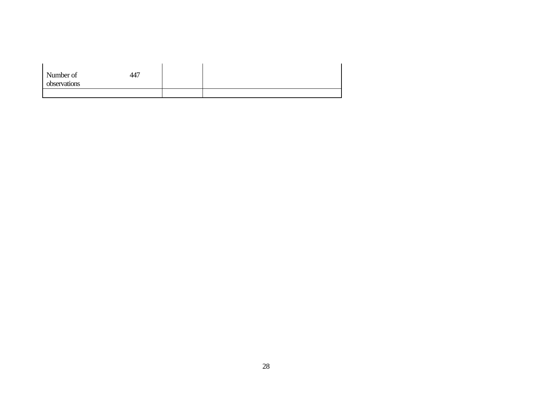| Number of<br>observations | 447 |  |  |
|---------------------------|-----|--|--|
|                           |     |  |  |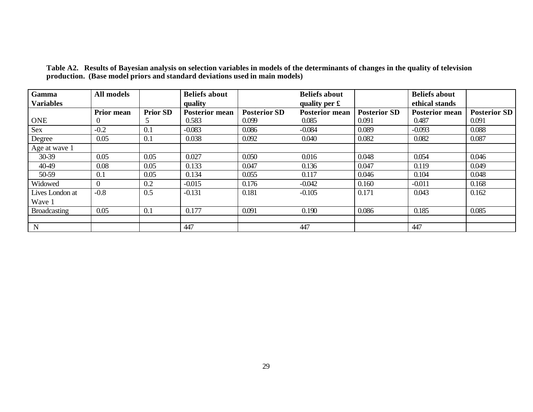| Gamma               | <b>All models</b> |                 | <b>Beliefs about</b>  |                     | <b>Beliefs about</b>  |                     | <b>Beliefs about</b>  |                     |
|---------------------|-------------------|-----------------|-----------------------|---------------------|-----------------------|---------------------|-----------------------|---------------------|
| <b>Variables</b>    |                   |                 | quality               |                     | quality per £         |                     | ethical stands        |                     |
|                     | <b>Prior mean</b> | <b>Prior SD</b> | <b>Posterior mean</b> | <b>Posterior SD</b> | <b>Posterior mean</b> | <b>Posterior SD</b> | <b>Posterior mean</b> | <b>Posterior SD</b> |
| <b>ONE</b>          | $\theta$          | 5               | 0.583                 | 0.099               | 0.085                 | 0.091               | 0.487                 | 0.091               |
| Sex                 | $-0.2$            | 0.1             | $-0.083$              | 0.086               | $-0.084$              | 0.089               | $-0.093$              | 0.088               |
| Degree              | 0.05              | 0.1             | 0.038                 | 0.092               | 0.040                 | 0.082               | 0.082                 | 0.087               |
| Age at wave 1       |                   |                 |                       |                     |                       |                     |                       |                     |
| 30-39               | 0.05              | 0.05            | 0.027                 | 0.050               | 0.016                 | 0.048               | 0.054                 | 0.046               |
| 40-49               | 0.08              | 0.05            | 0.133                 | 0.047               | 0.136                 | 0.047               | 0.119                 | 0.049               |
| 50-59               | 0.1               | 0.05            | 0.134                 | 0.055               | 0.117                 | 0.046               | 0.104                 | 0.048               |
| Widowed             | $\overline{0}$    | 0.2             | $-0.015$              | 0.176               | $-0.042$              | 0.160               | $-0.011$              | 0.168               |
| Lives London at     | $-0.8$            | 0.5             | $-0.131$              | 0.181               | $-0.105$              | 0.171               | 0.043                 | 0.162               |
| Wave 1              |                   |                 |                       |                     |                       |                     |                       |                     |
| <b>Broadcasting</b> | 0.05              | 0.1             | 0.177                 | 0.091               | 0.190                 | 0.086               | 0.185                 | 0.085               |
|                     |                   |                 |                       |                     |                       |                     |                       |                     |
| N                   |                   |                 | 447                   |                     | 447                   |                     | 447                   |                     |

**Table A2. Results of Bayesian analysis on selection variables in models of the determinants of changes in the quality of television production. (Base model priors and standard deviations used in main models)**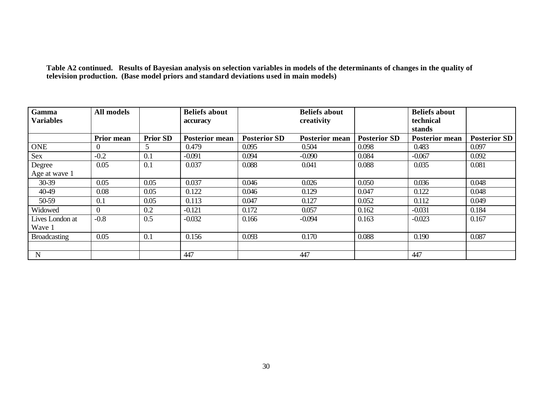**Table A2 continued. Results of Bayesian analysis on selection variables in models of the determinants of changes in the quality of television production. (Base model priors and standard deviations used in main models)**

| Gamma               | <b>All models</b> |                 | <b>Beliefs about</b>  |                     | <b>Beliefs about</b>  |                     | <b>Beliefs about</b>  |                     |
|---------------------|-------------------|-----------------|-----------------------|---------------------|-----------------------|---------------------|-----------------------|---------------------|
| <b>Variables</b>    |                   |                 | accuracy              |                     | creativity            |                     | technical             |                     |
|                     |                   |                 |                       |                     |                       |                     | stands                |                     |
|                     | <b>Prior mean</b> | <b>Prior SD</b> | <b>Posterior mean</b> | <b>Posterior SD</b> | <b>Posterior mean</b> | <b>Posterior SD</b> | <b>Posterior mean</b> | <b>Posterior SD</b> |
| <b>ONE</b>          | $\Omega$          | 5 <sup>5</sup>  | 0.479                 | 0.095               | 0.504                 | 0.098               | 0.483                 | 0.097               |
| Sex                 | $-0.2$            | 0.1             | $-0.091$              | 0.094               | $-0.090$              | 0.084               | $-0.067$              | 0.092               |
| Degree              | 0.05              | 0.1             | 0.037                 | 0.088               | 0.041                 | 0.088               | 0.035                 | 0.081               |
| Age at wave 1       |                   |                 |                       |                     |                       |                     |                       |                     |
| 30-39               | 0.05              | 0.05            | 0.037                 | 0.046               | 0.026                 | 0.050               | 0.036                 | 0.048               |
| 40-49               | 0.08              | 0.05            | 0.122                 | 0.046               | 0.129                 | 0.047               | 0.122                 | 0.048               |
| 50-59               | 0.1               | 0.05            | 0.113                 | 0.047               | 0.127                 | 0.052               | 0.112                 | 0.049               |
| Widowed             | $\Omega$          | 0.2             | $-0.121$              | 0.172               | 0.057                 | 0.162               | $-0.031$              | 0.184               |
| Lives London at     | $-0.8$            | 0.5             | $-0.032$              | 0.166               | $-0.094$              | 0.163               | $-0.023$              | 0.167               |
| Wave 1              |                   |                 |                       |                     |                       |                     |                       |                     |
| <b>Broadcasting</b> | 0.05              | 0.1             | 0.156                 | 0.093               | 0.170                 | 0.088               | 0.190                 | 0.087               |
|                     |                   |                 |                       |                     |                       |                     |                       |                     |
| N                   |                   |                 | 447                   |                     | 447                   |                     | 447                   |                     |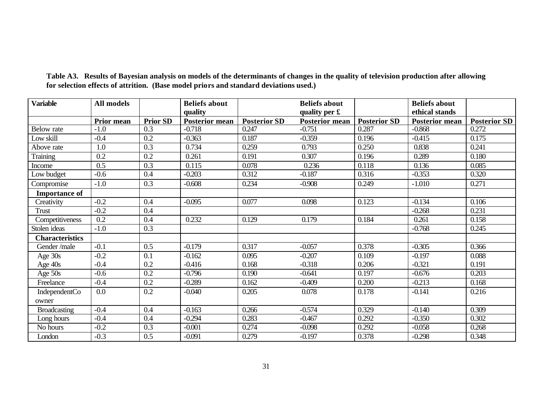| <b>Variable</b>        | All models        |                 | <b>Beliefs about</b>  |                     | <b>Beliefs about</b>    |                     | <b>Beliefs about</b>  |                     |
|------------------------|-------------------|-----------------|-----------------------|---------------------|-------------------------|---------------------|-----------------------|---------------------|
|                        |                   |                 | quality               |                     | quality per $\mathbf f$ |                     | ethical stands        |                     |
|                        | <b>Prior mean</b> | <b>Prior SD</b> | <b>Posterior mean</b> | <b>Posterior SD</b> | <b>Posterior mean</b>   | <b>Posterior SD</b> | <b>Posterior mean</b> | <b>Posterior SD</b> |
| <b>Below</b> rate      | $-1.0$            | 0.3             | $-0.718$              | 0.247               | $-0.751$                | 0.287               | $-0.868$              | 0.272               |
| Low skill              | $-0.4$            | 0.2             | $-0.363$              | 0.187               | $-0.359$                | 0.196               | $-0.415$              | 0.175               |
| Above rate             | 1.0               | 0.3             | 0.734                 | 0.259               | 0.793                   | 0.250               | 0.838                 | 0.241               |
| Training               | 0.2               | 0.2             | 0.261                 | 0.191               | 0.307                   | 0.196               | 0.289                 | 0.180               |
| Income                 | 0.5               | 0.3             | 0.115                 | 0.078               | 0.236                   | 0.118               | 0.136                 | 0.085               |
| Low budget             | $-0.6$            | 0.4             | $-0.203$              | 0.312               | $-0.187$                | 0.316               | $-0.353$              | 0.320               |
| Compromise             | $-1.0$            | 0.3             | $-0.608$              | 0.234               | $-0.908$                | 0.249               | $-1.010$              | 0.271               |
| <b>Importance of</b>   |                   |                 |                       |                     |                         |                     |                       |                     |
| Creativity             | $-0.2$            | 0.4             | $-0.095$              | 0.077               | 0.098                   | 0.123               | $-0.134$              | 0.106               |
| Trust                  | $-0.2$            | 0.4             |                       |                     |                         |                     | $-0.268$              | 0.231               |
| Competitiveness        | 0.2               | 0.4             | 0.232                 | 0.129               | 0.179                   | 0.184               | 0.261                 | 0.158               |
| Stolen ideas           | $-1.0$            | 0.3             |                       |                     |                         |                     | $-0.768$              | 0.245               |
| <b>Characteristics</b> |                   |                 |                       |                     |                         |                     |                       |                     |
| Gender/male            | $-0.1$            | 0.5             | $-0.179$              | 0.317               | $-0.057$                | 0.378               | $-0.305$              | 0.366               |
| Age 30s                | $-0.2$            | 0.1             | $-0.162$              | 0.095               | $-0.207$                | 0.109               | $-0.197$              | 0.088               |
| Age 40s                | $-0.4$            | 0.2             | $-0.416$              | 0.168               | $-0.318$                | 0.206               | $-0.321$              | 0.191               |
| Age 50s                | $-0.6$            | 0.2             | $-0.796$              | 0.190               | $-0.641$                | 0.197               | $-0.676$              | 0.203               |
| Freelance              | $-0.4$            | 0.2             | $-0.289$              | 0.162               | $-0.409$                | 0.200               | $-0.213$              | 0.168               |
| IndependentCo          | 0.0               | 0.2             | $-0.040$              | 0.205               | 0.078                   | 0.178               | $-0.141$              | 0.216               |
| owner                  |                   |                 |                       |                     |                         |                     |                       |                     |
| <b>Broadcasting</b>    | $-0.4$            | 0.4             | $-0.163$              | 0.266               | $-0.574$                | 0.329               | $-0.140$              | 0.309               |
| Long hours             | $-0.4$            | 0.4             | $-0.294$              | 0.283               | $-0.467$                | 0.292               | $-0.350$              | 0.302               |
| No hours               | $-0.2$            | 0.3             | $-0.001$              | 0.274               | $-0.098$                | 0.292               | $-0.058$              | 0.268               |
| London                 | $-0.3$            | 0.5             | $-0.091$              | 0.279               | $-0.197$                | 0.378               | $-0.298$              | 0.348               |

**Table A3. Results of Bayesian analysis on models of the determinants of changes in the quality of television production after allowing for selection effects of attrition. (Base model priors and standard deviations used.)**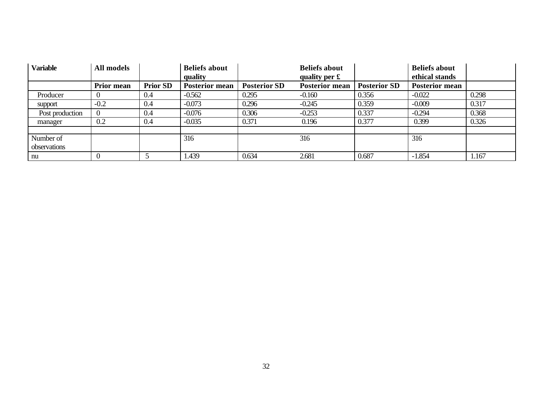| <b>Variable</b> | All models        |                 | <b>Beliefs about</b><br>quality |                     | <b>Beliefs about</b><br>quality per $\mathbf f$ |                     | <b>Beliefs about</b><br>ethical stands |       |
|-----------------|-------------------|-----------------|---------------------------------|---------------------|-------------------------------------------------|---------------------|----------------------------------------|-------|
|                 | <b>Prior mean</b> | <b>Prior SD</b> | <b>Posterior mean</b>           | <b>Posterior SD</b> | <b>Posterior mean</b>                           | <b>Posterior SD</b> | <b>Posterior mean</b>                  |       |
| Producer        |                   | 0.4             | $-0.562$                        | 0.295               | $-0.160$                                        | 0.356               | $-0.022$                               | 0.298 |
| support         | $-0.2$            | 0.4             | $-0.073$                        | 0.296               | $-0.245$                                        | 0.359               | $-0.009$                               | 0.317 |
| Post production |                   | 0.4             | $-0.076$                        | 0.306               | $-0.253$                                        | 0.337               | $-0.294$                               | 0.368 |
| manager         | 0.2               | 0.4             | $-0.035$                        | 0.371               | 0.196                                           | 0.377               | 0.399                                  | 0.326 |
|                 |                   |                 |                                 |                     |                                                 |                     |                                        |       |
| Number of       |                   |                 | 316                             |                     | 316                                             |                     | 316                                    |       |
| observations    |                   |                 |                                 |                     |                                                 |                     |                                        |       |
| nu              |                   |                 | 1.439                           | 0.634               | 2.681                                           | 0.687               | $-1.854$                               | .167  |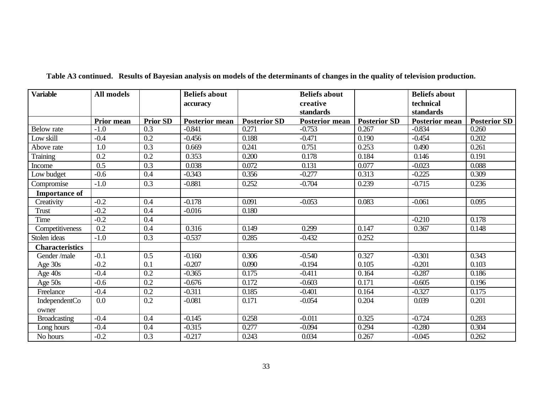| <b>Variable</b>        | <b>All models</b> |                  | <b>Beliefs about</b>  |                     | <b>Beliefs about</b>  |                     | <b>Beliefs about</b>  |                     |
|------------------------|-------------------|------------------|-----------------------|---------------------|-----------------------|---------------------|-----------------------|---------------------|
|                        |                   |                  | accuracy              |                     | creative              |                     | technical             |                     |
|                        |                   |                  |                       |                     | standards             |                     | standards             |                     |
|                        | Prior mean        | <b>Prior SD</b>  | <b>Posterior mean</b> | <b>Posterior SD</b> | <b>Posterior mean</b> | <b>Posterior SD</b> | <b>Posterior mean</b> | <b>Posterior SD</b> |
| <b>Below</b> rate      | $-1.0$            | 0.3              | $-0.841$              | 0.271               | $-0.753$              | 0.267               | $-0.834$              | 0.260               |
| Low skill              | $-0.4$            | 0.2              | $-0.456$              | 0.188               | $-0.471$              | 0.190               | $-0.454$              | 0.202               |
| Above rate             | 1.0               | 0.3              | 0.669                 | 0.241               | 0.751                 | 0.253               | 0.490                 | 0.261               |
| Training               | 0.2               | 0.2              | 0.353                 | 0.200               | 0.178                 | 0.184               | 0.146                 | 0.191               |
| Income                 | 0.5               | 0.3              | 0.038                 | 0.072               | 0.131                 | 0.077               | $-0.023$              | 0.088               |
| Low budget             | $-0.6$            | 0.4              | $-0.343$              | 0.356               | $-0.277$              | 0.313               | $-0.225$              | 0.309               |
| Compromise             | $-1.0$            | 0.3              | $-0.881$              | 0.252               | $-0.704$              | 0.239               | $-0.715$              | 0.236               |
| <b>Importance of</b>   |                   |                  |                       |                     |                       |                     |                       |                     |
| Creativity             | $-0.2$            | 0.4              | $-0.178$              | 0.091               | $-0.053$              | 0.083               | $-0.061$              | 0.095               |
| Trust                  | $-0.2$            | 0.4              | $-0.016$              | 0.180               |                       |                     |                       |                     |
| Time                   | $-0.2$            | 0.4              |                       |                     |                       |                     | $-0.210$              | 0.178               |
| Competitiveness        | 0.2               | 0.4              | 0.316                 | 0.149               | 0.299                 | 0.147               | 0.367                 | 0.148               |
| Stolen ideas           | $-1.0$            | 0.3              | $-0.537$              | 0.285               | $-0.432$              | 0.252               |                       |                     |
| <b>Characteristics</b> |                   |                  |                       |                     |                       |                     |                       |                     |
| Gender/male            | $-0.1$            | $\overline{0.5}$ | $-0.160$              | 0.306               | $-0.540$              | 0.327               | $-0.301$              | 0.343               |
| Age 30s                | $-0.2$            | 0.1              | $-0.207$              | 0.090               | $-0.194$              | 0.105               | $-0.201$              | 0.103               |
| Age 40s                | $-0.4$            | 0.2              | $-0.365$              | 0.175               | $-0.411$              | 0.164               | $-0.287$              | 0.186               |
| Age 50s                | $-0.6$            | 0.2              | $-0.676$              | 0.172               | $-0.603$              | 0.171               | $-0.605$              | 0.196               |
| Freelance              | $-0.4$            | 0.2              | $-0.311$              | 0.185               | $-0.401$              | 0.164               | $-0.327$              | 0.175               |
| IndependentCo          | 0.0               | 0.2              | $-0.081$              | 0.171               | $-0.054$              | 0.204               | 0.039                 | 0.201               |
| owner                  |                   |                  |                       |                     |                       |                     |                       |                     |
| <b>Broadcasting</b>    | $-0.4$            | 0.4              | $-0.145$              | 0.258               | $-0.011$              | 0.325               | $-0.724$              | 0.283               |
| Long hours             | $-0.4$            | 0.4              | $-0.315$              | 0.277               | $-0.094$              | 0.294               | $-0.280$              | 0.304               |
| No hours               | $-0.2$            | 0.3              | $-0.217$              | 0.243               | 0.034                 | 0.267               | $-0.045$              | 0.262               |

# **Table A3 continued. Results of Bayesian analysis on models of the determinants of changes in the quality of television production.**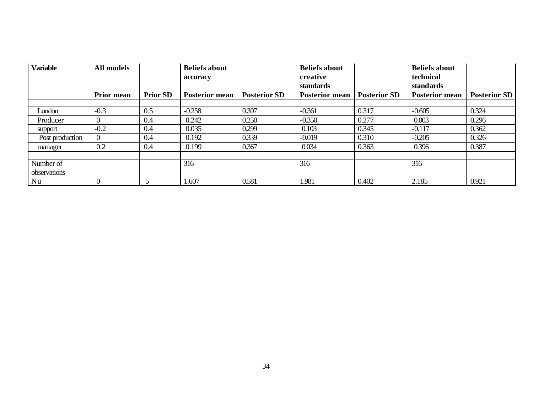| <b>Variable</b> | All models        |                 | <b>Beliefs about</b><br>accuracy |                     | <b>Beliefs about</b><br>creative<br>standards |                     | <b>Beliefs about</b><br>technical<br>standards |                     |
|-----------------|-------------------|-----------------|----------------------------------|---------------------|-----------------------------------------------|---------------------|------------------------------------------------|---------------------|
|                 | <b>Prior mean</b> | <b>Prior SD</b> | <b>Posterior mean</b>            | <b>Posterior SD</b> | <b>Posterior mean</b>                         | <b>Posterior SD</b> | <b>Posterior mean</b>                          | <b>Posterior SD</b> |
|                 |                   |                 |                                  |                     |                                               |                     |                                                |                     |
| London          | $-0.3$            | 0.5             | $-0.258$                         | 0.307               | $-0.361$                                      | 0.317               | $-0.605$                                       | 0.324               |
| Producer        |                   | 0.4             | 0.242                            | 0.250               | $-0.350$                                      | 0.277               | 0.003                                          | 0.296               |
| support         | $-0.2$            | 0.4             | 0.035                            | 0.299               | 0.103                                         | 0.345               | $-0.117$                                       | 0.362               |
| Post production | $\Omega$          | 0.4             | 0.192                            | 0.339               | $-0.019$                                      | 0.310               | $-0.205$                                       | 0.326               |
| manager         | 0.2               | 0.4             | 0.199                            | 0.367               | 0.034                                         | 0.363               | 0.396                                          | 0.387               |
|                 |                   |                 |                                  |                     |                                               |                     |                                                |                     |
| Number of       |                   |                 | 316                              |                     | 316                                           |                     | 316                                            |                     |
| observations    |                   |                 |                                  |                     |                                               |                     |                                                |                     |
| Nu              | $\theta$          | 5               | 1.607                            | 0.581               | 1.981                                         | 0.402               | 2.185                                          | 0.921               |